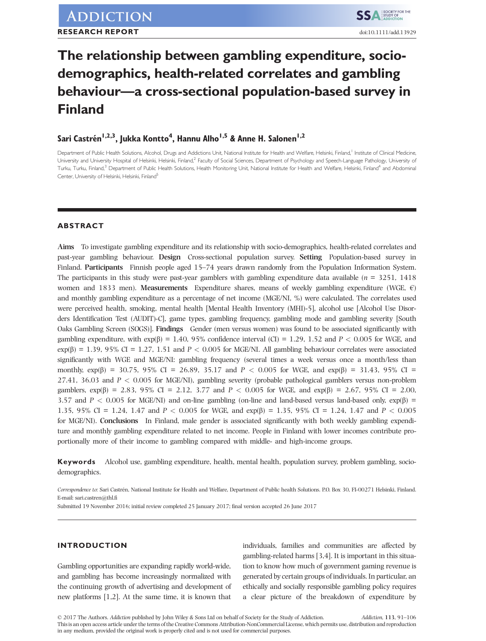# The relationship between gambling expenditure, sociodemographics, health-related correlates and gambling behaviour—a cross-sectional population-based survey in Finland

# Sari Castrén<sup>1,2,3</sup>, Jukka Kontto<sup>4</sup>, Hannu Alho<sup>1,5</sup> & Anne H. Salonen<sup>1,2</sup>

Department of Public Health Solutions, Alcohol, Drugs and Addictions Unit, National Institute for Health and Welfare, Helsinki, Finland,<sup>1</sup> Institute of Clinical Medicine, University and University Hospital of Helsinki, Helsinki, Finland,<sup>2</sup> Faculty of Social Sciences, Department of Psychology and Speech-Language Pathology, University of Turku, Turku, Finland,<sup>3</sup> Department of Public Health Solutions, Health Monitoring Unit, National Institute for Health and Welfare, Helsinki, Finland<sup>4</sup> and Abdominal Center, University of Helsinki, Helsinki, Finland<sup>5</sup>

# ABSTRACT

Aims To investigate gambling expenditure and its relationship with socio-demographics, health-related correlates and past-year gambling behaviour. Design Cross-sectional population survey. Setting Population-based survey in Finland. Participants Finnish people aged 15–74 years drawn randomly from the Population Information System. The participants in this study were past-year gamblers with gambling expenditure data available ( $n = 3251$ , 1418) women and 1833 men). Measurements Expenditure shares, means of weekly gambling expenditure (WGE,  $\epsilon$ ) and monthly gambling expenditure as a percentage of net income (MGE/NI, %) were calculated. The correlates used were perceived health, smoking, mental health [Mental Health Inventory (MHI)-5], alcohol use [Alcohol Use Disorders Identification Test (AUDIT)-C], game types, gambling frequency, gambling mode and gambling severity [South Oaks Gambling Screen (SOGS)]. Findings Gender (men versus women) was found to be associated significantly with gambling expenditure, with  $\exp(\beta) = 1.40$ , 95% confidence interval (CI) = 1.29, 1.52 and P < 0.005 for WGE, and  $\exp(\beta) = 1.39, 95\%$  CI = 1.27, 1.51 and P < 0.005 for MGE/NI. All gambling behaviour correlates were associated significantly with WGE and MGE/NI: gambling frequency (several times a week versus once a month/less than monthly,  $\exp(\beta) = 30.75$ , 95% CI = 26.89, 35.17 and P < 0.005 for WGE, and  $\exp(\beta) = 31.43$ , 95% CI = 27.41, 36.03 and  $P < 0.005$  for MGE/NI), gambling severity (probable pathological gamblers versus non-problem gamblers, exp(β) = 2.83, 95% CI = 2.12, 3.77 and P < 0.005 for WGE, and exp(β) = 2.67, 95% CI = 2.00, 3.57 and  $P < 0.005$  for MGE/NI) and on-line gambling (on-line and land-based versus land-based only,  $\exp(\beta)$  = 1.35, 95% CI = 1.24, 1.47 and P < 0.005 for WGE, and  $\exp(\beta) = 1.35$ , 95% CI = 1.24, 1.47 and P < 0.005 for MGE/NI). Conclusions In Finland, male gender is associated significantly with both weekly gambling expenditure and monthly gambling expenditure related to net income. People in Finland with lower incomes contribute proportionally more of their income to gambling compared with middle- and high-income groups.

Keywords Alcohol use, gambling expenditure, health, mental health, population survey, problem gambling, sociodemographics.

Submitted 19 November 2016; initial review completed 25 January 2017; final version accepted 26 June 2017

# INTRODUCTION

Gambling opportunities are expanding rapidly world-wide, and gambling has become increasingly normalized with the continuing growth of advertising and development of new platforms [1,2]. At the same time, it is known that individuals, families and communities are affected by gambling-related harms [3,4]. It is important in this situation to know how much of government gaming revenue is generated by certain groups of individuals. In particular, an ethically and socially responsible gambling policy requires a clear picture of the breakdown of expenditure by

Correspondence to: Sari Castrén, National Institute for Health and Welfare, Department of Public health Solutions. P.O. Box 30, FI-00271 Helsinki, Finland. E-mail: sari.castren@thl.fi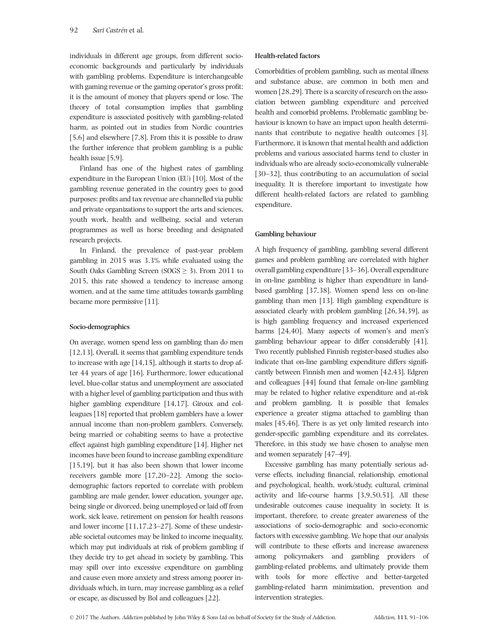individuals in different age groups, from different socioeconomic backgrounds and particularly by individuals with gambling problems. Expenditure is interchangeable with gaming revenue or the gaming operator's gross profit: it is the amount of money that players spend or lose. The theory of total consumption implies that gambling expenditure is associated positively with gambling-related harm, as pointed out in studies from Nordic countries [5,6] and elsewhere [7,8]. From this it is possible to draw the further inference that problem gambling is a public health issue [5,9].

Finland has one of the highest rates of gambling expenditure in the European Union (EU) [10]. Most of the gambling revenue generated in the country goes to good purposes: profits and tax revenue are channelled via public and private organizations to support the arts and sciences, youth work, health and wellbeing, social and veteran programmes as well as horse breeding and designated research projects.

In Finland, the prevalence of past-year problem gambling in 2015 was 3.3% while evaluated using the South Oaks Gambling Screen ( $S OGS \geq 3$ ). From 2011 to 2015, this rate showed a tendency to increase among women, and at the same time attitudes towards gambling became more permissive [11].

# Socio-demographics

On average, women spend less on gambling than do men [12,13]. Overall, it seems that gambling expenditure tends to increase with age [14,15], although it starts to drop after 44 years of age [16]. Furthermore, lower educational level, blue-collar status and unemployment are associated with a higher level of gambling participation and thus with higher gambling expenditure [14,17]. Giroux and colleagues [18] reported that problem gamblers have a lower annual income than non-problem gamblers. Conversely, being married or cohabiting seems to have a protective effect against high gambling expenditure [14]. Higher net incomes have been found to increase gambling expenditure [15,19], but it has also been shown that lower income receivers gamble more [17,20–22]. Among the sociodemographic factors reported to correlate with problem gambling are male gender, lower education, younger age, being single or divorced, being unemployed or laid off from work, sick leave, retirement on pension for health reasons and lower income [11,17,23–27]. Some of these undesirable societal outcomes may be linked to income inequality, which may put individuals at risk of problem gambling if they decide try to get ahead in society by gambling. This may spill over into excessive expenditure on gambling and cause even more anxiety and stress among poorer individuals which, in turn, may increase gambling as a relief or escape, as discussed by Bol and colleagues [22].

# Health-related factors

Comorbidities of problem gambling, such as mental illness and substance abuse, are common in both men and women [28,29]. There is a scarcity of research on the association between gambling expenditure and perceived health and comorbid problems. Problematic gambling behaviour is known to have an impact upon health determinants that contribute to negative health outcomes [3]. Furthermore, it is known that mental health and addiction problems and various associated harms tend to cluster in individuals who are already socio-economically vulnerable [30–32], thus contributing to an accumulation of social inequality. It is therefore important to investigate how different health-related factors are related to gambling expenditure.

# Gambling behaviour

A high frequency of gambling, gambling several different games and problem gambling are correlated with higher overall gambling expenditure [33–36]. Overall expenditure in on-line gambling is higher than expenditure in landbased gambling [37,38]. Women spend less on on-line gambling than men [13]. High gambling expenditure is associated clearly with problem gambling [26,34,39], as is high gambling frequency and increased experienced harms [24,40]. Many aspects of women's and men's gambling behaviour appear to differ considerably [41]. Two recently published Finnish register-based studies also indicate that on-line gambling expenditure differs significantly between Finnish men and women [42,43]. Edgren and colleagues [44] found that female on-line gambling may be related to higher relative expenditure and at-risk and problem gambling. It is possible that females experience a greater stigma attached to gambling than males [45,46]. There is as yet only limited research into gender-specific gambling expenditure and its correlates. Therefore, in this study we have chosen to analyse men and women separately [47–49].

Excessive gambling has many potentially serious adverse effects, including financial, relationship, emotional and psychological, health, work/study, cultural, criminal activity and life-course harms [3,9,50,51]. All these undesirable outcomes cause inequality in society. It is important, therefore, to create greater awareness of the associations of socio-demographic and socio-economic factors with excessive gambling. We hope that our analysis will contribute to these efforts and increase awareness among policymakers and gambling providers of gambling-related problems, and ultimately provide them with tools for more effective and better-targeted gambling-related harm minimization, prevention and intervention strategies.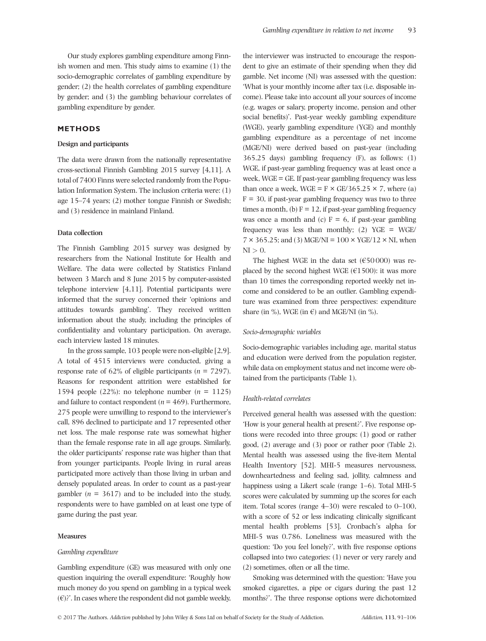Our study explores gambling expenditure among Finnish women and men. This study aims to examine (1) the socio-demographic correlates of gambling expenditure by gender; (2) the health correlates of gambling expenditure by gender; and (3) the gambling behaviour correlates of gambling expenditure by gender.

# METHODS

# Design and participants

The data were drawn from the nationally representative cross-sectional Finnish Gambling 2015 survey [4,11]. A total of 7400 Finns were selected randomly from the Population Information System. The inclusion criteria were: (1) age 15–74 years; (2) mother tongue Finnish or Swedish; and (3) residence in mainland Finland.

#### Data collection

The Finnish Gambling 2015 survey was designed by researchers from the National Institute for Health and Welfare. The data were collected by Statistics Finland between 3 March and 8 June 2015 by computer-assisted telephone interview [4,11]. Potential participants were informed that the survey concerned their 'opinions and attitudes towards gambling'. They received written information about the study, including the principles of confidentiality and voluntary participation. On average, each interview lasted 18 minutes.

In the gross sample, 103 people were non-eligible [2,9]. A total of 4515 interviews were conducted, giving a response rate of 62% of eligible participants ( $n = 7297$ ). Reasons for respondent attrition were established for 1594 people (22%): no telephone number ( $n = 1125$ ) and failure to contact respondent ( $n = 469$ ). Furthermore, 275 people were unwilling to respond to the interviewer's call, 896 declined to participate and 17 represented other net loss. The male response rate was somewhat higher than the female response rate in all age groups. Similarly, the older participants' response rate was higher than that from younger participants. People living in rural areas participated more actively than those living in urban and densely populated areas. In order to count as a past-year gambler ( $n = 3617$ ) and to be included into the study, respondents were to have gambled on at least one type of game during the past year.

# **Measures**

#### Gambling expenditure

Gambling expenditure (GE) was measured with only one question inquiring the overall expenditure: 'Roughly how much money do you spend on gambling in a typical week  $(\in)$ ?'. In cases where the respondent did not gamble weekly,

the interviewer was instructed to encourage the respondent to give an estimate of their spending when they did gamble. Net income (NI) was assessed with the question: 'What is your monthly income after tax (i.e. disposable income). Please take into account all your sources of income (e.g. wages or salary, property income, pension and other social benefits)'. Past-year weekly gambling expenditure (WGE), yearly gambling expenditure (YGE) and monthly gambling expenditure as a percentage of net income (MGE/NI) were derived based on past-year (including 365.25 days) gambling frequency (F), as follows: (1) WGE, if past-year gambling frequency was at least once a week, WGE = GE. If past-year gambling frequency was less than once a week,  $WGE = F \times GE/365.25 \times 7$ , where (a)  $F = 30$ , if past-year gambling frequency was two to three times a month, (b)  $F = 12$ , if past-year gambling frequency was once a month and (c)  $F = 6$ , if past-year gambling frequency was less than monthly; (2) YGE = WGE/  $7 \times 365.25$ ; and (3) MGE/NI =  $100 \times YGE/12 \times NI$ , when  $NI > 0$ .

The highest WGE in the data set  $(650000)$  was replaced by the second highest WGE ( $€1500$ ): it was more than 10 times the corresponding reported weekly net income and considered to be an outlier. Gambling expenditure was examined from three perspectives: expenditure share (in %), WGE (in  $\epsilon$ ) and MGE/NI (in %).

#### Socio-demographic variables

Socio-demographic variables including age, marital status and education were derived from the population register, while data on employment status and net income were obtained from the participants (Table 1).

# Health-related correlates

Perceived general health was assessed with the question: 'How is your general health at present?'. Five response options were recoded into three groups: (1) good or rather good, (2) average and (3) poor or rather poor (Table 2). Mental health was assessed using the five-item Mental Health Inventory [52]. MHI-5 measures nervousness, downheartedness and feeling sad, jollity, calmness and happiness using a Likert scale (range 1–6). Total MHI-5 scores were calculated by summing up the scores for each item. Total scores (range 4–30) were rescaled to 0–100, with a score of 52 or less indicating clinically significant mental health problems [53]. Cronbach's alpha for MHI-5 was 0.786. Loneliness was measured with the question: 'Do you feel lonely?', with five response options collapsed into two categories: (1) never or very rarely and (2) sometimes, often or all the time.

Smoking was determined with the question: 'Have you smoked cigarettes, a pipe or cigars during the past 12 months?'. The three response options were dichotomized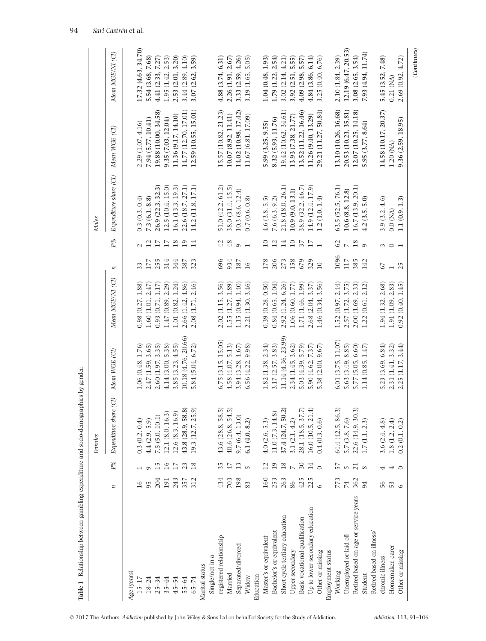| n<br>Age (years)                      |     |                             | Females                                                                   |                     |                   |      |                                     | <b>Males</b>           |                      |                       |
|---------------------------------------|-----|-----------------------------|---------------------------------------------------------------------------|---------------------|-------------------|------|-------------------------------------|------------------------|----------------------|-----------------------|
|                                       |     | $P_{\prime\theta}^{\theta}$ | $\odot$<br>Expenditure share                                              | Mean WGE (CI)       | Mean MGE/NI (CI)  | z    | $P\%$                               | Expenditure share (CI) | Mean WGE (CI)        | Mean MGE/NI (CI)      |
|                                       |     |                             |                                                                           |                     |                   |      |                                     |                        |                      |                       |
| $15 - 17$                             | 16  |                             | 0.3(0.2, 0.4)                                                             | 1.06 (0.48, 1.76)   | 0.98(0.27, 1.88)  | 33   |                                     | 0.3(0.3, 0.4)          | 2.29 (1.07, 4.16)    | 17.32 (4.63, 34.70)   |
| $18 - 24$                             |     | ٥                           | 4.4(2.9, 5.9)                                                             | 2.47(1.59, 3.65)    | 1.60(1.01, 2.47)  | 177  |                                     | 7.3(6.1, 8.8)          | 7.94 (5.77, 10.41)   | 5.54 (3.68, 7.68)     |
| $25 - 34$                             | 204 | 15                          | 7.5 (5.0, 10.1)                                                           | 2.60 (1.97, 3.35)   | 0.93(0.71, 1.17)  | 255  | 17                                  | 26.9 (22.3, 32.3)      | 19.88 (10.00, 34.58) | 4.41 (2.33, 7.27)     |
| $35 - 44$                             | 191 | 16                          | 12.1 (8.0, 16.3)                                                          | 4.14 (3.00, 5.38)   | 1.47(0.89, 2.29)  | 314  | $\overline{17}$                     | 12.5 (10.4, 15.0)      | 9.35 (7.03, 12.04)   | 1.95 (1.42, 2.53)     |
| $45 - 54$                             | 243 | 17                          | 12.6(8.3, 16.9)                                                           | 3.85 (3.23, 4.55)   | 1.01 (0.82, 1.24) | 344  | 18                                  | 16.1 (13.3, 19.3)      | 11.36 (9.17, 14.10)  | 2.53 (2.01, 3.20)     |
| 55-64                                 | 357 | 23                          | 43.8(28.9, 58.8)                                                          | 10.18 (4.76, 20.66) | 2.66 (1.42, 4.86) | 387  | 19                                  | 22.6 (18.7, 27.1)      | 14.77 (12.70, 17.01) | 3.44 (2.89, 4.10)     |
| $65 - 74$                             | 312 | 18                          | 19.3 (12.7, 25.9)                                                         | 5.84 (5.04, 6.72)   | 2.08 (1.71, 2.46) | 323  | 14                                  | 14.2 (11.8, 17.1)      | 12.59 (10.55, 15.01) | 3.07 (2.62, 3.59)     |
| Marital status                        |     |                             |                                                                           |                     |                   |      |                                     |                        |                      |                       |
| Single/not in a                       |     |                             |                                                                           |                     |                   |      |                                     |                        |                      |                       |
| registered relationship               | 434 | 35                          |                                                                           | 6.75(3.15, 15.05)   | 2.02 (1.15, 3.56) | 696  | 42                                  | 51.0 (42.2, 61.2)      | 15.57 (10.82, 21.23) | 4.88 (3.74, 6.31)     |
| Married                               | 703 | 47                          | $\begin{array}{c} 43.6 \ (28.8, 58.5) \\ 40.6 \ (26.8, 54.5) \end{array}$ | 4.58(4.07, 5.13)    | 1.55 (1.27, 1.89) | 934  | 48                                  | 38.0 (31.4, 45.5)      | 10.07(8.92, 11.41)   | 2.26 (1.91, 2.67)     |
| Separated/divorced                    | 198 | 13                          | 9.7(6.4, 13.0)                                                            | 3.94 (3.28, 4.67)   | 1.15 (0.94, 1.40) | 187  | $\circ$                             | 10.3 (8.6, 12.4)       | 14.02 (10.98, 17.42) | 3.33 (2.59, 4.26)     |
| Widow                                 | 83  | $\mathsf{L}\cap$            | 6.1(4.0, 8.2)                                                             | $6.56$ (4.22, 9.98) | 2.21 (1.30, 3.46) | 16   |                                     | 0.7(0.6, 0.8)          | 11.67 (6.81, 17.09)  | 5.05)<br>3.19 (1.65,  |
| Education                             |     |                             |                                                                           |                     |                   |      |                                     |                        |                      |                       |
| Master's or equivalent                | 160 | $\overline{12}$             | 4.0(2.6, 5.3)                                                             | 1.82(1.38, 2.34)    | 0.39(0.28, 0.50)  | 178  | $\Box$                              | $4.6$ $(3.8, 5.5)$     | 5.99 (3.25, 9.55)    | 1.04 (0.48, 1.93)     |
| Bachelor's or equivalent              | 253 | 19                          | 11.0 (7.3, 14.8)                                                          | 3.17 (2.57, 3.83)   | 0.84(0.65, 1.04)  | 206  | $\overline{12}$                     | 7.6(6.3, 9.2)          | 8.32 (5.93, 11.76)   | $1.79$ $(1.22, 2.54)$ |
| Short cycle tertiary education        | 263 | 18                          | 37.4 (24.7, 50.2)                                                         | 11.14 (4.36, 23.99) | 2.92 (1.24, 6.26) | 273  | 14                                  | 21.8 (18.0, 26.1)      | 19.42 (10.62, 34.61) | 3.02 (2.14, 4.21)     |
| Upper secondary                       | 86  | $\overline{\phantom{a}}$    | 3.1(2.1, 4.2)                                                             | 2.34 (1.45, 3.62)   | 1.06 (0.60, 1.77) | 158  | $\Box$                              | 10.9 (9.0, 13.1)       | 13.93 (7.38, 21.77)  | 3.92 (2.51, 5.55)     |
| Basic vocational qualification        | 425 | 30                          | 28.1 (18.5, 37.7)                                                         | 5.03 (4.39, 5.79)   | 1.71 (1.46, 1.99) | 679  | $\overline{\overline{\overline{}}}$ | 38.9 (32.2, 46.7)      | 13.52 (11.22, 16.46) | 4.09(2.98, 5.57)      |
| Up to lower secondary education       | 225 | 14                          | 16.0 (10.5, 21.4)                                                         | 5.90 (4.62, 7.37)   | 2.68 (2.04, 3.37) | 329  | $\overline{17}$                     | 14.9 (12.4, 17.9)      | 11.26 (9.40, 13.29)  | 4.84 (3.86, 6.14)     |
| $\circ$<br>Other or missing           |     | $\circ$                     | 0.4(0.3, 0.6)                                                             | 5.38 (2.00, 9.67)   | 1.46 (0.34, 3.56) | $10$ | $\overline{ }$                      | 1.2(1.0, 1.4)          | 29.21 (11.27, 50.84) | 3.25 (0.40, 6.76)     |
| Employment status                     |     |                             |                                                                           |                     |                   |      |                                     |                        |                      |                       |
| Working                               | 773 | 57                          | 64.4(42.5, 86.3)                                                          | 6.01 (3.75, 11.07)  | 1.52(0.97, 2.44)  | 1096 | $\mathcal{C}$                       | 63.5 (52.5, 76.1)      | 13.10 (10.26, 16.68) | 2.10 (1.84, 2.39)     |
| Unemployed or laid off                | 74  | $\mathsf{L}\cap$            | 5.7(3.8, 7.6)                                                             | 5.63 (3.49, 8.85)   | 2.57 (1.72, 3.75) | 117  |                                     | 10.6 (8.8, 12.8)       | 20.53 (10.23, 35.81) | 12.19 (6.47, 20.53)   |
| Retired based on age or service years | 362 | 21                          | 22.6 (14.9, 30.3)                                                         | 5.77 (5.05, 6.60)   | 2.00 (1.69, 2.33) | 385  | 18                                  | 16.7 (13.9, 20.1)      | 12.07 (10.25, 14.18) | 3.08 (2.65, 3.54)     |
| Student                               | 94  | $\infty$                    | 1.7(1.1, 2.3)                                                             | 1.14(0.85, 1.47)    | 1.22(0.61, 2.12)  | 142  | $\circ$                             | 4.2(3.5, 5.0)          | 5.95 (3.77, 8.64)    | 7.93 (4.94, 11.74)    |
| Retired based on illness.             |     |                             |                                                                           |                     |                   |      |                                     |                        |                      |                       |
| chronic illness                       | 56  | 4                           | 3.6(2.4, 4.8)                                                             | 5.23 (3.69, 6.84)   | 1.94 (1.32, 2.68) | 59   | $\sim$                              | 3.9(3.2, 4.6)          | 14.58 (10.17, 20.37) | 7.48)<br>5.45 (3.52,  |
| 53<br>Homemaker, carer                |     | 4                           | 1.8(1.2, 2.4)                                                             | 2.31 (1.41, 3.32)   | 1.91 (1.09, 2.83) |      | $\circ$ $\overline{ }$              | $0.0$ (NA)             | 1.20 (NA)            | $0.21$ (NA)           |
| $\circ$<br>Other or missing           |     | $\circ$                     | 0.2)<br>0.2(0.1,                                                          | 2.25 (1.17, 3.44)   | 0.92(0.40, 1.45)  | 25   |                                     | 1.1(0.9, 1.3)          | 9.36 (2.59, 18.95)   | 2.69 (0.92, 4.72)     |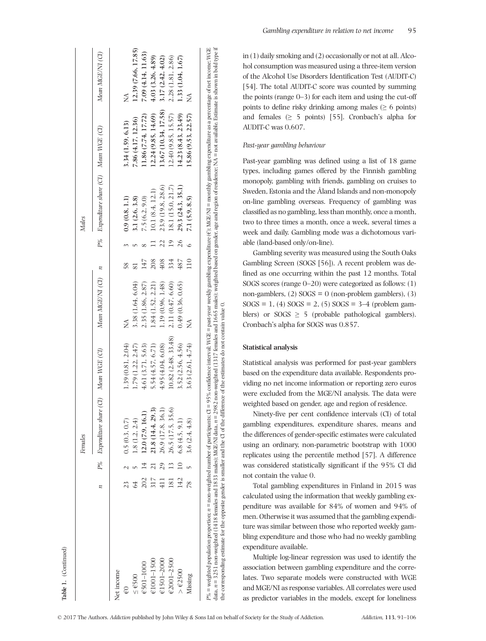|                     |               |                 | Females                                 |                    |                        |     |                 | <b>Males</b>                            |                      |                     |
|---------------------|---------------|-----------------|-----------------------------------------|--------------------|------------------------|-----|-----------------|-----------------------------------------|----------------------|---------------------|
|                     | z             |                 | P% Expenditure share (CI) Mean WGE (CI) |                    | Mean $MGE/NI$ (CI) $n$ |     |                 | P% Expenditure share (CI) Mean WGE (CI) |                      | Mean MGE/NI (CI)    |
| Net income          |               |                 |                                         |                    |                        |     |                 |                                         |                      |                     |
| $\oplus$            | 23            |                 | 0.5(0.3, 0.7)                           | 1.39(0.81, 2.04)   |                        | 58  |                 | 0.9(0.8, 1.1)                           | 3.34 (1.59, 6.13)    |                     |
| $\leq \epsilon$ 500 | 64            |                 | 1.8(1.2, 2.4)                           | 1.79 (1.22, 2.47)  | 3.38 (1.64, 6.04)      |     |                 | 3.1 (2.6, 3.8)                          | 7.86 (4.17, 12.36)   | 12,39 (7.66, 17.85) |
| €501-1000           | 202           | $\overline{4}$  | 12.0(7.9, 16.1)                         | 4.61 (3.71, 5.63)  | 2.35 (1.86, 2.87)      | 147 |                 | 7.5(6.2, 9.0)                           | 11.86 (7.74, 17.72)  | 7.09 (4.14, 11.63)  |
| $€1001 - 1500$      | 317           | $\overline{21}$ | 21.8 (14.4, 29.3)                       | 5.54 (4.57, 6.71)  | 1.84 (1.52, 2.21)      | 208 |                 | 10.1 (8.4, 12.1)                        | 12.24 (9.85, 14.69)  | 4.03 (3.26, 4.89)   |
| $€1501 - 2000$      | 411           | 29              | 26.9 (17.8, 36.1)                       | 4.95(4.04, 6.08)   | 1.19 (0.96, 1.48)      | 408 | 22              | 23.9 (19.8, 28.6)                       | 13.67 (10.34, 17.58) | 3.17(2.42, 4.02)    |
| €2001-2500          | 181           | $\frac{3}{2}$   | 26.5 (17.5, 35.6)                       | 10.82(2.48, 33.48) | 2.11 (0.47, 6.60)      | 334 | $\overline{19}$ | 18.1 (15.0, 21.7)                       | 12.40 (9.85, 15.57)  | 2.28 (1.81, 2.86)   |
| $>$ $62500$         | 142           | $\overline{10}$ | 6.8(4.5, 9.1)                           | 3.52 (2.56, 4.56)  | 0.49(0.36, 0.65)       | 487 | 26              | 29.3 (24.3, 35.1)                       | 14.23 (8.43, 23.49)  | 1.33 (1.04, 1.67)   |
| Missing             | $\frac{8}{2}$ |                 | 3.6(2.4, 4.8)                           | 3.63(2.61, 4.74)   |                        | 110 |                 | 7.1 (5.9, 8.5)                          | 15.86 (9.53, 22.57)  |                     |
|                     |               |                 |                                         |                    |                        |     |                 |                                         |                      |                     |

Table 1. (Continued)

(Continued)

in (1) daily smoking and (2) occasionally or not at all. Alcohol consumption was measured using a three-item version of the Alcohol Use Disorders Identification Test (AUDIT-C) [54]. The total AUDIT-C score was counted by summing the points (range 0–3) for each item and using the cut-off points to define risky drinking among males  $(≥ 6$  points) and females  $(≥ 5$  points) [55]. Cronbach's alpha for AUDIT-C was 0.607.

# Past-year gambling behaviour

Past-year gambling was defined using a list of 18 game types, including games offered by the Finnish gambling monopoly, gambling with friends, gambling on cruises to Sweden, Estonia and the Åland Islands and non-monopoly on-line gambling overseas. Frequency of gambling was classified as no gambling, less than monthly, once a month, two to three times a month, once a week, several times a week and daily. Gambling mode was a dichotomous variable (land-based only/on-line).

Gambling severity was measured using the South Oaks Gambling Screen (SOGS [56]). A recent problem was defined as one occurring within the past 12 months. Total SOGS scores (range 0–20) were categorized as follows: (1) non-gamblers,  $(2)$  SOGS = 0 (non-problem gamblers),  $(3)$  $SOGS = 1$ , (4)  $SOGS = 2$ , (5)  $SOGS = 3-4$  (problem gamblers) or  $SOGS \geq 5$  (probable pathological gamblers). Cronbach's alpha for SOGS was 0.857.

# Statistical analysis

Statistical analysis was performed for past-year gamblers based on the expenditure data available. Respondents providing no net income information or reporting zero euros were excluded from the MGE/NI analysis. The data were weighted based on gender, age and region of residence.

Ninety-five per cent confidence intervals (CI) of total gambling expenditures, expenditure shares, means and the differences of gender-specific estimates were calculated using an ordinary, non-parametric bootstrap with 1000 replicates using the percentile method [57]. A difference was considered statistically significant if the 95% CI did not contain the value 0.

Total gambling expenditures in Finland in 2015 was calculated using the information that weekly gambling expenditure was available for 84% of women and 94% of men. Otherwise it was assumed that the gambling expenditure was similar between those who reported weekly gambling expenditure and those who had no weekly gambling expenditure available.

Multiple log-linear regression was used to identify the association between gambling expenditure and the correlates. Two separate models were constructed with WGE and MGE/NI as response variables. All correlates were used as predictor variables in the models, except for loneliness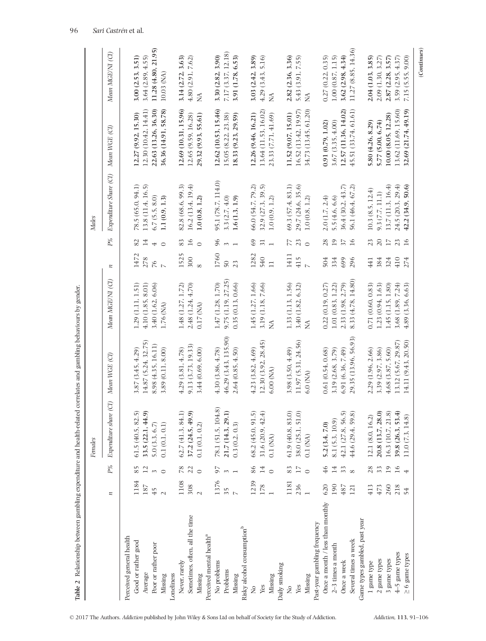|                                        |                |                | Fernales                     |                      |                    |                |                             | <b>Males</b>           |                      |                     |
|----------------------------------------|----------------|----------------|------------------------------|----------------------|--------------------|----------------|-----------------------------|------------------------|----------------------|---------------------|
|                                        | n              | $P^o\!\!o\!\!$ | $\odot$<br>Expenditure share | Mean WGE (CI)        | Mean MGE/NI (CI)   | n              | $P_{\prime\theta}^{\theta}$ | Expenditure Share (CI) | Mean WGE (CI)        | Mean MGE/NI (CI)    |
| Perceived general health               |                |                |                              |                      |                    |                |                             |                        |                      |                     |
| Good or rather good                    | 1184           | 85             | 61.5(40.5, 82.5)             | 3.87 (3.45, 4.29)    | 1.29 (1.11, 1.51)  | 1472           | 82                          | 78.5 (65.0, 94.1)      | 12.27 (9.92, 15.30)  | 3.00 (2.53, 3.51)   |
| Average                                | 187            |                | 33.5 (22.1, 44.9)            | 14.87 (5.24, 32.75)  | 4.10(1.85, 8.01)   | 278            | $^{14}$                     | 13.8 (11.4, 16.5)      | 12.30 (10.42, 14.41) | 3.64(2.89, 4.55)    |
| Poor or rather poor                    | 45             | $\sim$         | 5.0(3.3, 6.7)                | 8.98 (4.35, 16.11)   | 3.40 (1.62, 6.06)  | 76             | $\overline{ }$              | 6.7(5.5, 8.0)          | 22.63 (13.26, 36.30) | 11.28 (4.80, 21.95) |
| Missing                                | $\sim$         | $\circ$        | 0.1(0.1, 0.1)                | 3.89 (0.11, 8.00)    | 1.76 (NA)          | $\sim$         | $\circ$                     | 1.1(0.9, 1.3)          | 36.36 (14.91, 58.78) | 10.03 (NA)          |
| Loneliness                             |                |                |                              |                      |                    |                |                             |                        |                      |                     |
| Never, rarely                          | 1108           | 78             | 62.7(41.3, 84.1)             | 4.29(3.81, 4.78)     | 1.48 (1.27, 1.72)  | 1525           | 83                          | 82.8 (68.6, 99.3)      | 12.69 (10.31, 15.96) | 3.14 (2.72, 3.63)   |
| Sometimes, often, all the time         | 308            | 22             | 37.2 (24.5, 49.9)            | 9.13 (3.73, 19.33)   | 2.48 (1.24, 4.70)  | 300            | $\overline{16}$             | 16.2(13.4, 19.4)       | 12.65 (9.59, 16.28)  | 4.80(2.91, 7.62)    |
| Missing                                | $\sim$         | $\circ$        | 0.1(0.1, 0.2)                | 3.44 (0.69, 6.00)    | 0.17(MA)           |                | $\circ$                     | 1.0(0.8, 1.2)          | 29.32 (9.93, 55.61)  | $\lessgtr$          |
| Perceived mental health <sup>a</sup>   |                |                |                              |                      |                    |                |                             |                        |                      |                     |
| No problems                            | 1376           | 57             | 78.1 (51.5, 104.8)           | 4.30 (3.86, 4.78)    | 1.47 (1.28, 1.70)  | 1760           | 96                          | 95.1 (78.7, 114.0)     | 12.62 (10.53, 15.46) | 3.30 (2.82, 3.90)   |
| Problems                               | 35             | $\infty$       | 21.7 (14.3, 29.1)            | 46.29 (3.43, 135.90) | 9.75 (1.19, 27.25) | $50\,$         |                             | 3.3(2.7, 4.0)          | 15.05 (8.22, 23.38)  | 7.17 (3.37, 12.18)  |
| Missing                                | $\overline{a}$ |                | 0.3(0.2, 0.3)                | 2.64 (0.85, 4.50)    | 0.35(0.13, 0.66)   | 23             | $\overline{ }$              | 1.6(1.3, 1.9)          | 18.33 (9.23, 29.59)  | 3.91 (1.78, 6.53)   |
| Risky alcohol consumption <sup>b</sup> |                |                |                              |                      |                    |                |                             |                        |                      |                     |
| $\mathcal{S}^{\circ}$                  | 1239           | 86             | 68.2 (45.0, 91.5)            | 4.23(3.82, 4.69)     | 1.45 (1.27, 1.66)  | 1282           | 69                          | 66.0 (54.7, 79.2)      | 12.26 (9.46, 16.21)  | 3.03 (2.42, 3.89)   |
| Yes                                    | 178            | 14             | 31.6 (20.9, 42.4)            | 12.30 (3.92, 28.45)  | 3.19 (1.18, 7.66)  | 540            | 31                          | 32.9 (27.3, 39.5)      | 13.64 (11.53, 16.02) | 4.29(3.43, 5.16)    |
| Missing                                |                | $\circ$        | $0.1$ (NA)                   | 6.00 (NA)            | Z                  | $\Box$         | $\overline{ }$              | 1.0(0.9, 1.2)          | 23.33 (7.71, 41.69)  | ≸                   |
| Daily smoking                          |                |                |                              |                      |                    |                |                             |                        |                      |                     |
| $\frac{1}{2}$                          | 1181           | 83             | 61.9(40.8, 83.0)             | 3.98 (3.50, 4.49)    | 1.33 (1.13, 1.56)  | 1411           | 77                          | 69.3(57.4, 83.1)       | 11.52 (9.07, 15.01)  | 2.82 (2.36, 3.36)   |
| Yes                                    | 236            | 17             | 38.0 (25.1, 51.0)            | 11.97 (5.31, 24.56)  | 3.40 (1.82, 6.32)  | 415            | 23                          | 29.7 (24.6, 35.6)      | 16.52 (13.42, 19.97) | 5.43 (3.91, 7.55)   |
| Missing                                |                | $\circ$        | $0.1$ (NA)                   | $6.0$ (NA)           | ≸                  | $\overline{a}$ | $\circ$                     | 1.0(0.8, 1.2)          | 34.73 (13.45, 61.20  | Ñ                   |
| Past-year gambling frequency           |                |                |                              |                      |                    |                |                             |                        |                      |                     |
| Once a month / less than monthly       | 620            | 46             | 5.2(3.4, 7.0)                | 0.61(0.54, 0.68)     | 0.22(0.19, 0.27)   | 504            | 28                          | 2.0(1.7, 2.4)          | 0.91(0.79, 1.02)     | 0.27(0.22, 0.35)    |
| $2\text{--}3$ times a month            | 190            | 14             | 8.1 (5.3, 10.9)              | 3.19 (2.68, 3.79)    | 1.01 (0.83, 1.22)  | 334            | 19                          | 5.5(4.6, 6.6)          | 3.67(3.35, 4.00)     | 1.00(0.87, 1.15)    |
| Once a week                            | 487            | 33             | 42.1 (27.8, 56.5)            | 6.91 (6.36, 7.49)    | 2.33 (1.98, 2.79)  | 699            | $\overline{37}$             | 36.4 (30.2, 43.7)      | 12.57 (11.36, 14.02) | 3.62(2.98, 4.34)    |
| Several times a week                   | 121            | $\infty$       | 44.6 (29.4, 59.8)            | 29.35 (13.96, 56.93) | 8.33 (4.78, 14.80) | 296            | 16                          | 56.1 (46.4, 67.2)      | 45.51 (33.74, 61.61) | 11.27 (8.85, 14.36) |
| Game types gambled, past year          |                |                |                              |                      |                    |                |                             |                        |                      |                     |
| 1 game type                            | 413            | 28             | 12.1 (8.0, 16.2)             | 2.29 (1.96, 2.66)    | 0.71(0.60, 0.83)   | 441            | 23                          | 10.3(8.5, 12.4)        | 5.80 (4.26, 8.29)    | 2.04 (1.03, 3.85)   |
| $2\ \mathrm{game}$ types               | 473            | 33             | 20.8 (13.7, 28.0)            | 3.39 (2.97, 3.86)    | 1.23 (0.94, 1.63)  | 384            | 20                          | 9.3 (7.7, 11.1)        | 5.77 (5.00, 6.74)    | 2.09(1.30, 3.27)    |
| 3 game types                           | 260            | 19             | 16.3 (10.7, 21.8)            | 4.68 (3.87, 5.60)    | 1.45 (1.15, 1.80)  | 324            | $\overline{17}$             | 13.7(11.3, 16.4)       | 10.00 (8.05, 12.28)  | 2.87(2.28, 3.57)    |
| $4-5$ game types                       | 218            | 16             | 39.8 (26.3, 53.4)            | 13.12 (5.67, 29.87)  | 3.68 (1.89, 7.24)  | 410            | 23                          | 24.5 (20.3, 29.4)      | 13.62 (11.69, 15.60) | 3.59 (2.95, 4.37)   |
| 6 game types<br>$\wedge$ l             | 54             | 4              | 11.0 (7.3, 14.8)             | 14.11 (9.43, 20.50)  | 4.89 (3.36, 6.63)  | 274            | 16                          | 42.2 (34.9, 50.6)      | 32.69 (21.74, 49.19) | 7.15 (5.55, 9.00)   |
|                                        |                |                |                              |                      |                    |                |                             |                        |                      | (Continues)         |

Table 2 Relationship between gambling expenditure and health-related correlates and gambling behaviours by gender. Table 2 Relationship between gambling expenditure and health-related correlates and gambling behaviours by gender.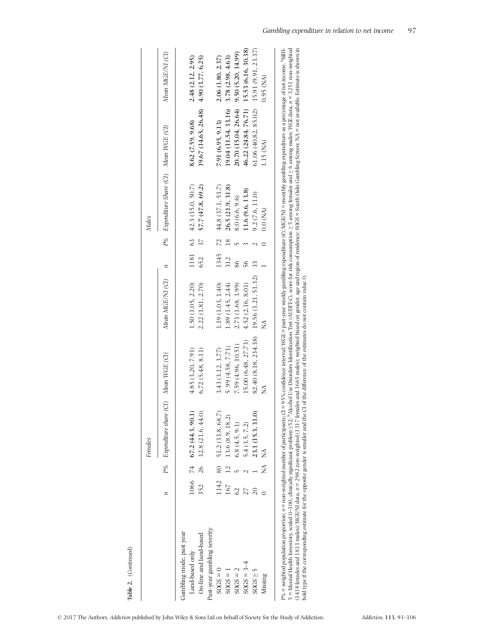|                             |                 |                | Females                                 |                      |                     |              |                 | Nales                                   |                                          |                     |
|-----------------------------|-----------------|----------------|-----------------------------------------|----------------------|---------------------|--------------|-----------------|-----------------------------------------|------------------------------------------|---------------------|
|                             | z               |                | P% Expenditure share (CI) Mean WGE (CI) |                      | Mean MGE/NI (CI)    | $\mathbf{z}$ |                 | P% Expenditure Share (CI) Mean WGE (CI) |                                          | Mean MGE/NI (CI)    |
| Gambling mode, past year    |                 |                |                                         |                      |                     |              |                 |                                         |                                          |                     |
| Land-based only             |                 |                | $1066$ 74 67.2 (44.3, 90.1)             | 4.85 (3.20, 7.91)    | 1.50 (1.05, 2.20)   |              |                 | $1181$ 63 42.3 (35.0, 50.7)             | 8.62 (7.59, 9.68)                        | 2.48 (2.12, 2.95)   |
| On-line and land-based      | 352             | 26             | 32.8 (21.6, 44.0)                       | 6.72(5.48, 8.11)     | 2.22(1.81, 2.70)    | 652          | 37 <sup>7</sup> | 57.7 (47.8, 69.2)                       | 19.67 (14.65, 26.48)                     | 4.90 (3.77, 6.25)   |
| Past-year gambling severity |                 |                |                                         |                      |                     |              |                 |                                         |                                          |                     |
| $30GS = 0$                  | 1142            |                | 80 51.2 (33.8, 68.7)                    | 3.43 (3.12, 3.77)    | 1.19 (1.03, 1.40)   | 1345         |                 | $72$ 44.8 (37.1, 53.7)                  | 7.91 (6.95, 9.13)                        | 2.06 (1.80, 2.37)   |
| $SOGS = 1$                  | 167             | $\frac{12}{1}$ | 13.6 (8.9, 18.2)                        | 5.99 (4.58, 7.71)    | 1.89 (1.45, 2.44)   | 312          | $\frac{8}{18}$  | 26.5 (21.9, 31.8)                       | 19.04 (11.54, 33.16)                     | 3.78 (2.98, 4.63)   |
| $SOGS = 2$                  | $\overline{62}$ |                | 6.8(4.5, 9.1)                           | 7.59 (4.96, 10.51)   | 2.73 (1.68, 3.99)   | 86           |                 | 8.0 (6.6, 9.6)                          | 20.70 (15.04, 26.64)                     | 9.50 (5.20, 14.99)  |
| $SOGS = 3-4$                |                 |                | 5.4(3.5, 7.2)                           | 15.00 (6.48, 27.73)  | 4.52(2.16, 8.01)    | 56           |                 | 11.6 (9.6, 13.8)                        | 46.22 (24.84, 76.71) 15.53 (6.16, 30.38) |                     |
| $SOGS \geq 5$               |                 |                | 23.1 (15.3, 31.0)                       | 82.40 (8.18, 234.38) | 19.56 (3.21, 51.32) |              |                 | 9.2(7.6, 11.0)                          | 61.06 (40.82, 85.02)                     | 15.91 (9.91, 23.37) |
| Missing                     |                 | Ź              | Ź                                       |                      |                     |              |                 | $0.0$ (NA)                              | 1.15 (NA)                                | $0.95$ (NA)         |

P% = weighted population proportion: n = non-weighted number of participants; CI = 95% confidence interval; WGE = past-year weekly gambling expenditure (6); MGE/NI = monthly gambling expenditure as a percentage of net inc 5 = Mental Health Inventory, scaled 0-100, clinically significant problem ≤52; <sup>b</sup>Alcohol Use Disorders Identification Test (AUDIT-C), score for risk consumption ≥ 5 among fernales and ≥ 6 among males; WGE data, n = 3251 n (1418 females and 1833 males); MGE/NI data,  $n = 2982$  non-weighted (1317 females and 1665 males); weighted based on gender, age and region of residence; SOGS = South Oaks Gambling Screen; NA = not available. Estimate is sh bold type if the corresponding estimate for the opposite gender is smaller and the CI of the difference of the estimates do not contain value 0.

Table 2. (Continued)

Table 2. (Continued)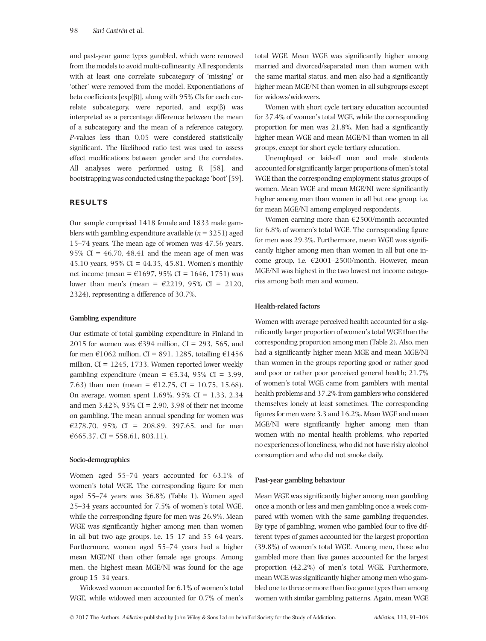and past-year game types gambled, which were removed from the models to avoid multi-collinearity. All respondents with at least one correlate subcategory of 'missing' or 'other' were removed from the model. Exponentiations of beta coefficients  $[exp(\beta)]$ , along with 95% CIs for each correlate subcategory, were reported, and  $exp(β)$  was interpreted as a percentage difference between the mean of a subcategory and the mean of a reference category. P-values less than 0.05 were considered statistically significant. The likelihood ratio test was used to assess effect modifications between gender and the correlates. All analyses were performed using R [58], and bootstrapping was conducted using the package 'boot'[59].

# RESULTS

Our sample comprised 1418 female and 1833 male gamblers with gambling expenditure available ( $n = 3251$ ) aged 15–74 years. The mean age of women was 47.56 years, 95% CI =  $46.70$ , 48.41 and the mean age of men was 45.10 years, 95% CI = 44.35, 45.81. Women's monthly net income (mean =  $\text{\textsterling}1697, 95\%$  CI = 1646, 1751) was lower than men's (mean =  $\epsilon$ 2219, 95% CI = 2120, 2324), representing a difference of 30.7%.

## Gambling expenditure

Our estimate of total gambling expenditure in Finland in 2015 for women was  $\epsilon$ 394 million, CI = 293, 565, and for men  $\epsilon$ 1062 million, CI = 891, 1285, totalling  $\epsilon$ 1456 million,  $CI = 1245, 1733$ . Women reported lower weekly gambling expenditure (mean =  $\epsilon$ 5.34, 95% CI = 3.99, 7.63) than men (mean =  $\text{\textsterling}12.75$ , CI = 10.75, 15.68). On average, women spent 1.69%, 95% CI = 1.33, 2.34 and men 3.42%, 95% CI = 2.90, 3.98 of their net income on gambling. The mean annual spending for women was €278.70, 95% CI = 208.89, 397.65, and for men  $€665.37$ , CI = 558.61, 803.11).

# Socio-demographics

Women aged 55–74 years accounted for 63.1% of women's total WGE. The corresponding figure for men aged 55–74 years was 36.8% (Table 1). Women aged 25–34 years accounted for 7.5% of women's total WGE, while the corresponding figure for men was 26.9%. Mean WGE was significantly higher among men than women in all but two age groups, i.e. 15–17 and 55–64 years. Furthermore, women aged 55–74 years had a higher mean MGE/NI than other female age groups. Among men, the highest mean MGE/NI was found for the age group 15–34 years.

Widowed women accounted for 6.1% of women's total WGE, while widowed men accounted for 0.7% of men's

total WGE. Mean WGE was significantly higher among married and divorced/separated men than women with the same marital status, and men also had a significantly higher mean MGE/NI than women in all subgroups except for widows/widowers.

Women with short cycle tertiary education accounted for 37.4% of women's total WGE, while the corresponding proportion for men was 21.8%. Men had a significantly higher mean WGE and mean MGE/NI than women in all groups, except for short cycle tertiary education.

Unemployed or laid-off men and male students accounted for significantly larger proportions of men's total WGE than the corresponding employment status groups of women. Mean WGE and mean MGE/NI were significantly higher among men than women in all but one group, i.e. for mean MGE/NI among employed respondents.

Women earning more than  $E$ 2500/month accounted for 6.8% of women's total WGE. The corresponding figure for men was 29.3%. Furthermore, mean WGE was significantly higher among men than women in all but one income group, i.e.  $\epsilon$ 2001–2500/month. However, mean MGE/NI was highest in the two lowest net income categories among both men and women.

#### Health-related factors

Women with average perceived health accounted for a significantly larger proportion of women's total WGE than the corresponding proportion among men (Table 2). Also, men had a significantly higher mean MGE and mean MGE/NI than women in the groups reporting good or rather good and poor or rather poor perceived general health; 21.7% of women's total WGE came from gamblers with mental health problems and 37.2% from gamblers who considered themselves lonely at least sometimes. The corresponding figures for men were 3.3 and 16.2%. Mean WGE and mean MGE/NI were significantly higher among men than women with no mental health problems, who reported no experiences of loneliness, who did not have risky alcohol consumption and who did not smoke daily.

#### Past-year gambling behaviour

Mean WGE was significantly higher among men gambling once a month or less and men gambling once a week compared with women with the same gambling frequencies. By type of gambling, women who gambled four to five different types of games accounted for the largest proportion (39.8%) of women's total WGE. Among men, those who gambled more than five games accounted for the largest proportion (42.2%) of men's total WGE. Furthermore, mean WGE was significantly higher among men who gambled one to three or more than five game types than among women with similar gambling patterns. Again, mean WGE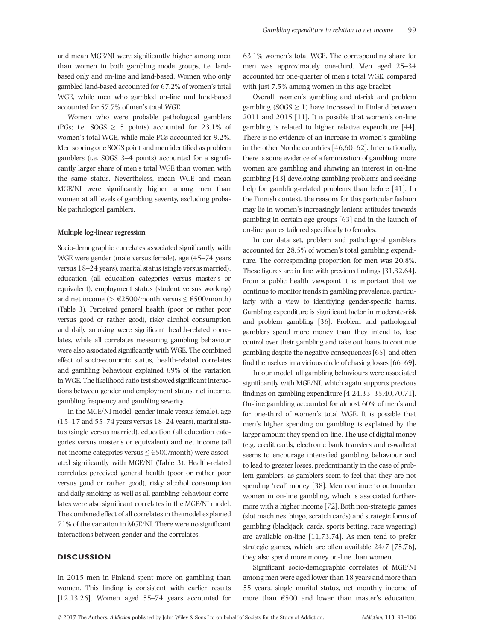and mean MGE/NI were significantly higher among men than women in both gambling mode groups, i.e. landbased only and on-line and land-based. Women who only gambled land-based accounted for 67.2% of women's total WGE, while men who gambled on-line and land-based accounted for 57.7% of men's total WGE.

Women who were probable pathological gamblers (PGs; i.e. SOGS  $\geq$  5 points) accounted for 23.1% of women's total WGE, while male PGs accounted for 9.2%. Men scoring one SOGS point and men identified as problem gamblers (i.e. SOGS 3–4 points) accounted for a significantly larger share of men's total WGE than women with the same status. Nevertheless, mean WGE and mean MGE/NI were significantly higher among men than women at all levels of gambling severity, excluding probable pathological gamblers.

#### Multiple log-linear regression

Socio-demographic correlates associated significantly with WGE were gender (male versus female), age (45–74 years versus 18–24 years), marital status (single versus married), education (all education categories versus master's or equivalent), employment status (student versus working) and net income ( $> \text{\textsterling}2500/\text{month}$  versus  $\leq \text{\textsterling}500/\text{month}$ ) (Table 3). Perceived general health (poor or rather poor versus good or rather good), risky alcohol consumption and daily smoking were significant health-related correlates, while all correlates measuring gambling behaviour were also associated significantly with WGE. The combined effect of socio-economic status, health-related correlates and gambling behaviour explained 69% of the variation in WGE. The likelihood ratio test showed significant interactions between gender and employment status, net income, gambling frequency and gambling severity.

In the MGE/NI model, gender (male versus female), age (15–17 and 55–74 years versus 18–24 years), marital status (single versus married), education (all education categories versus master's or equivalent) and net income (all net income categories versus ≤ €500/month) were associated significantly with MGE/NI (Table 3). Health-related correlates perceived general health (poor or rather poor versus good or rather good), risky alcohol consumption and daily smoking as well as all gambling behaviour correlates were also significant correlates in the MGE/NI model. The combined effect of all correlates in the model explained 71% of the variation in MGE/NI. There were no significant interactions between gender and the correlates.

# **DISCUSSION**

In 2015 men in Finland spent more on gambling than women. This finding is consistent with earlier results [12,13,26]. Women aged 55–74 years accounted for 63.1% women's total WGE. The corresponding share for men was approximately one-third. Men aged 25–34 accounted for one-quarter of men's total WGE, compared with just 7.5% among women in this age bracket.

Overall, women's gambling and at-risk and problem gambling ( $SOGS \geq 1$ ) have increased in Finland between 2011 and 2015 [11]. It is possible that women's on-line gambling is related to higher relative expenditure [44]. There is no evidence of an increase in women's gambling in the other Nordic countries [46,60–62]. Internationally, there is some evidence of a feminization of gambling: more women are gambling and showing an interest in on-line gambling [43] developing gambling problems and seeking help for gambling-related problems than before [41]. In the Finnish context, the reasons for this particular fashion may lie in women's increasingly lenient attitudes towards gambling in certain age groups [63] and in the launch of on-line games tailored specifically to females.

In our data set, problem and pathological gamblers accounted for 28.5% of women's total gambling expenditure. The corresponding proportion for men was 20.8%. These figures are in line with previous findings [31,32,64]. From a public health viewpoint it is important that we continue to monitor trends in gambling prevalence, particularly with a view to identifying gender-specific harms. Gambling expenditure is significant factor in moderate-risk and problem gambling [36]. Problem and pathological gamblers spend more money than they intend to, lose control over their gambling and take out loans to continue gambling despite the negative consequences [65], and often find themselves in a vicious circle of chasing losses [66–69].

In our model, all gambling behaviours were associated significantly with MGE/NI, which again supports previous findings on gambling expenditure [4,24,33–35,40,70,71]. On-line gambling accounted for almost 60% of men's and for one-third of women's total WGE. It is possible that men's higher spending on gambling is explained by the larger amount they spend on-line. The use of digital money (e.g. credit cards, electronic bank transfers and e-wallets) seems to encourage intensified gambling behaviour and to lead to greater losses, predominantly in the case of problem gamblers, as gamblers seem to feel that they are not spending 'real' money [38]. Men continue to outnumber women in on-line gambling, which is associated furthermore with a higher income [72]. Both non-strategic games (slot machines, bingo, scratch cards) and strategic forms of gambling (blackjack, cards, sports betting, race wagering) are available on-line [11,73,74]. As men tend to prefer strategic games, which are often available 24/7 [75,76], they also spend more money on-line than women.

Significant socio-demographic correlates of MGE/NI among men were aged lower than 18 years and more than 55 years, single marital status, net monthly income of more than  $€500$  and lower than master's education.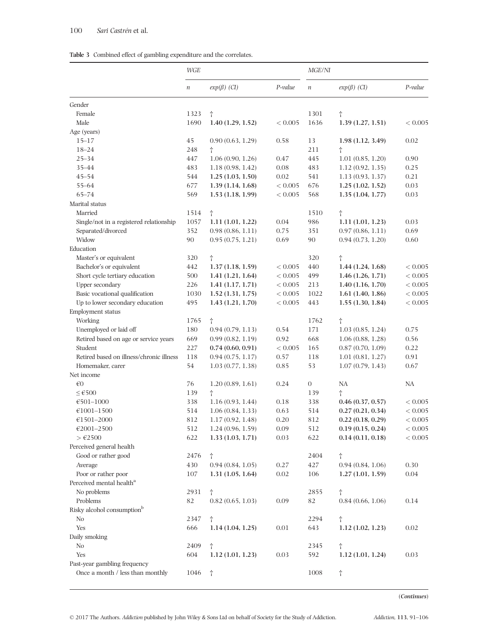|  |  | Table 3 Combined effect of gambling expenditure and the correlates. |  |
|--|--|---------------------------------------------------------------------|--|
|  |  |                                                                     |  |

|                                          | WGE              |                   |         | <i>MGE/NI</i>    |                   |         |
|------------------------------------------|------------------|-------------------|---------|------------------|-------------------|---------|
|                                          | $\boldsymbol{n}$ | $exp(\beta)$ (CI) | P-value | $\boldsymbol{n}$ | $exp(\beta)$ (CI) | P-value |
| Gender                                   |                  |                   |         |                  |                   |         |
| Female                                   | 1323             | $^\dagger$        |         | 1301             | t                 |         |
| Male                                     | 1690             | 1.40(1.29, 1.52)  | < 0.005 | 1636             | 1.39(1.27, 1.51)  | < 0.005 |
| Age (years)                              |                  |                   |         |                  |                   |         |
| $15 - 17$                                | 45               | 0.90(0.63, 1.29)  | 0.58    | 13               | 1.98(1.12, 3.49)  | 0.02    |
| $18 - 24$                                | 248              | Ť                 |         | 211              | t                 |         |
| $25 - 34$                                | 447              | 1.06(0.90, 1.26)  | 0.47    | 445              | 1.01(0.85, 1.20)  | 0.90    |
| 35-44                                    | 483              | 1.18(0.98, 1.42)  | 0.08    | 483              | 1.12(0.92, 1.35)  | 0.25    |
| $45 - 54$                                | 544              | 1.25(1.03, 1.50)  | 0.02    | 541              | 1.13(0.93, 1.37)  | 0.21    |
| $55 - 64$                                | 677              | 1.39(1.14, 1.68)  | < 0.005 | 676              | 1.25(1.02, 1.52)  | 0.03    |
| $65 - 74$                                | 569              | 1.53(1.18, 1.99)  | < 0.005 | 568              | 1.35(1.04, 1.77)  | 0.03    |
| Marital status                           |                  |                   |         |                  |                   |         |
| Married                                  | 1514             | $^\dagger$        |         | 1510             | $^\dagger$        |         |
| Single/not in a registered relationship  | 1057             | 1.11(1.01, 1.22)  | 0.04    | 986              | 1.11(1.01, 1.23)  | 0.03    |
| Separated/divorced                       | 352              | 0.98(0.86, 1.11)  | 0.75    | 351              | 0.97(0.86, 1.11)  | 0.69    |
| Widow                                    | 90               | 0.95(0.75, 1.21)  | 0.69    | 90               | 0.94(0.73, 1.20)  | 0.60    |
| Education                                |                  |                   |         |                  |                   |         |
| Master's or equivalent                   | 320              | $^\dagger$        |         | 320              | t                 |         |
| Bachelor's or equivalent                 | 442              | 1.37(1.18, 1.59)  | < 0.005 | 440              | 1.44(1.24, 1.68)  | < 0.005 |
| Short cycle tertiary education           | 500              | 1.41(1.21, 1.64)  | < 0.005 | 499              | 1.46(1.26, 1.71)  | < 0.005 |
| Upper secondary                          | 226              | 1.41(1.17, 1.71)  | < 0.005 | 213              | 1.40(1.16, 1.70)  | < 0.005 |
| Basic vocational qualification           | 1030             | 1.52(1.31, 1.75)  | < 0.005 | 1022             | 1.61(1.40, 1.86)  | < 0.005 |
| Up to lower secondary education          | 495              | 1.43(1.21, 1.70)  | < 0.005 | 443              | 1.55(1.30, 1.84)  | < 0.005 |
| Employment status                        |                  |                   |         |                  |                   |         |
| Working                                  | 1765             | $^\dagger$        |         | 1762             | $\dagger$         |         |
| Unemployed or laid off                   | 180              | 0.94(0.79, 1.13)  | 0.54    | 171              | 1.03(0.85, 1.24)  | 0.75    |
| Retired based on age or service years    | 669              | 0.99(0.82, 1.19)  | 0.92    | 668              | 1.06(0.88, 1.28)  | 0.56    |
| Student                                  | 227              | 0.74(0.60, 0.91)  | < 0.005 | 165              | 0.87(0.70, 1.09)  | 0.22    |
| Retired based on illness/chronic illness | 118              | 0.94(0.75, 1.17)  | 0.57    | 118              | 1.01(0.81, 1.27)  | 0.91    |
| Homemaker, carer                         | 54               | 1.03(0.77, 1.38)  | 0.85    | 53               | 1.07(0.79, 1.43)  | 0.67    |
| Net income                               |                  |                   |         |                  |                   |         |
| $\epsilon$ 0                             | 76               | 1.20(0.89, 1.61)  | 0.24    | $\boldsymbol{0}$ | NA                | NA      |
| ≤ €500                                   | 139              | $\dagger$         |         | 139              | Ť                 |         |
| €501-1000                                | 338              | 1.16(0.93, 1.44)  | 0.18    | 338              | 0.46(0.37, 0.57)  | < 0.005 |
| $€1001 - 1500$                           | 514              | 1.06(0.84, 1.33)  | 0.63    | 514              | 0.27(0.21, 0.34)  | < 0.005 |
| $€1501 - 2000$                           | 812              | 1.17(0.92, 1.48)  | 0.20    | 812              | 0.22(0.18, 0.29)  | < 0.005 |
| €2001-2500                               | 512              | 1.24(0.96, 1.59)  | 0.09    | 512              | 0.19(0.15, 0.24)  | < 0.005 |
| $>\epsilon$ 2500                         | 622              | 1.33(1.03, 1.71)  | 0.03    | 622              | 0.14(0.11, 0.18)  | < 0.005 |
| Perceived general health                 |                  |                   |         |                  |                   |         |
| Good or rather good                      | 2476             | Ť                 |         | 2404             | t                 |         |
| Average                                  | 430              | 0.94(0.84, 1.05)  | 0.27    | 427              | 0.94(0.84, 1.06)  | 0.30    |
| Poor or rather poor                      | 107              | 1.31(1.05, 1.64)  | 0.02    | 106              | 1.27(1.01, 1.59)  | 0.04    |
| Perceived mental health <sup>a</sup>     |                  |                   |         |                  |                   |         |
| No problems                              | 2931             | Ť                 |         | 2855             | t                 |         |
| Problems                                 | 82               | 0.82(0.65, 1.03)  | 0.09    | 82               | 0.84(0.66, 1.06)  | 0.14    |
| Risky alcohol consumption <sup>b</sup>   |                  |                   |         |                  |                   |         |
| No                                       | 2347             | Ť                 |         | 2294             | t                 |         |
| Yes                                      | 666              | 1.14(1.04, 1.25)  | 0.01    | 643              | 1.12(1.02, 1.23)  | 0.02    |
| Daily smoking                            |                  |                   |         |                  |                   |         |
| No                                       | 2409             | $^\dagger$        |         | 2345             | t                 |         |
| Yes                                      | 604              | 1.12(1.01, 1.23)  | 0.03    | 592              | 1.12(1.01, 1.24)  | 0.03    |
| Past-year gambling frequency             |                  |                   |         |                  |                   |         |
| Once a month / less than monthly         | 1046             | $^\dagger$        |         | 1008             | $^\dagger$        |         |

(Continues)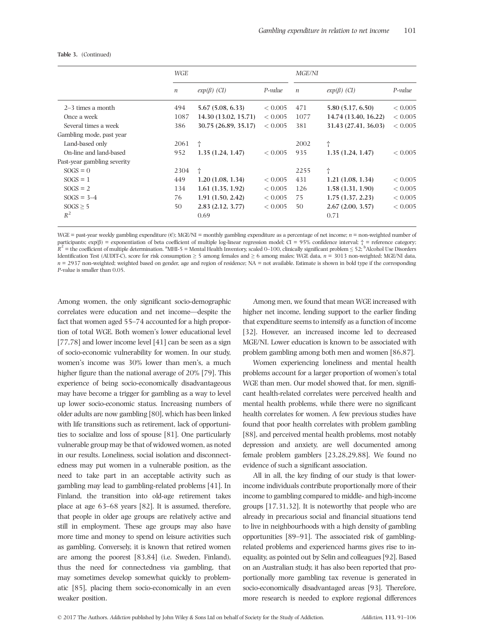|                             | WGE              |                      |         | <i>MGE/NI</i>    |                      |                |
|-----------------------------|------------------|----------------------|---------|------------------|----------------------|----------------|
|                             | $\boldsymbol{n}$ | $exp(\beta)$ (CI)    | P-value | $\boldsymbol{n}$ | $exp(\beta)$ (CI)    | P-value        |
| $2-3$ times a month         | 494              | 5.67(5.08, 6.33)     | < 0.005 | 471              | 5.80 (5.17, 6.50)    | ${}_{< 0.005}$ |
| Once a week                 | 1087             | 14.30 (13.02, 15.71) | < 0.005 | 1077             | 14.74 (13.40, 16.22) | ${}_{< 0.005}$ |
| Several times a week        | 386              | 30.75 (26.89, 35.17) | < 0.005 | 381              | 31.43 (27.41, 36.03) | ${}_{< 0.005}$ |
| Gambling mode, past year    |                  |                      |         |                  |                      |                |
| Land-based only             | 2061             | t                    |         | 2002             | Ť                    |                |
| On-line and land-based      | 952              | 1.35(1.24, 1.47)     | < 0.005 | 935              | 1.35(1.24, 1.47)     | ${}_{< 0.005}$ |
| Past-year gambling severity |                  |                      |         |                  |                      |                |
| $SOGS = 0$                  | 2304             | Ť                    |         | 2255             | Ť                    |                |
| $SOGS = 1$                  | 449              | 1.20(1.08, 1.34)     | < 0.005 | 431              | 1.21(1.08, 1.34)     | < 0.005        |
| $SOGS = 2$                  | 134              | 1.61(1.35, 1.92)     | < 0.005 | 126              | 1.58(1.31, 1.90)     | ${}_{< 0.005}$ |
| $SOGS = 3-4$                | 76               | 1.91(1.50, 2.42)     | < 0.005 | 75               | 1.75(1.37, 2.23)     | ${}_{< 0.005}$ |
| $SOGS \geq 5$               | 50               | 2.83(2.12, 3.77)     | < 0.005 | 50               | 2.67(2.00, 3.57)     | < 0.005        |
| $R^2$                       |                  | 0.69                 |         |                  | 0.71                 |                |

# Table 3. (Continued)

WGE = past-year weekly gambling expenditure  $(\epsilon)$ ; MGE/NI = monthly gambling expenditure as a percentage of net income;  $n =$  non-weighted number of participants; exp(β) = exponentiation of beta coefficient of multiple log-linear regression model; CI = 95% confidence interval; † = reference category;  $R^2$  = the coefficient of multiple determination. <sup>a</sup>MHI-5 = Mental Health Inventory, scaled 0–100, clinically significant problem  $\leq$  52; <sup>b</sup>Alcohol Use Disorders Identification Test (AUDIT-C), score for risk consumption  $\geq$  5 among females and  $\geq$  6 among males; WGE data, n = 3013 non-weighted; MGE/NI data,  $n = 2937$  non-weighted; weighted based on gender, age and region of residence; NA = not available. Estimate is shown in bold type if the corresponding P-value is smaller than 0.05.

Among women, the only significant socio-demographic correlates were education and net income—despite the fact that women aged 55–74 accounted for a high proportion of total WGE. Both women's lower educational level [77,78] and lower income level [41] can be seen as a sign of socio-economic vulnerability for women. In our study, women's income was 30% lower than men's, a much higher figure than the national average of 20% [79]. This experience of being socio-economically disadvantageous may have become a trigger for gambling as a way to level up lower socio-economic status. Increasing numbers of older adults are now gambling [80], which has been linked with life transitions such as retirement, lack of opportunities to socialize and loss of spouse [81]. One particularly vulnerable group may be that of widowed women, as noted in our results. Loneliness, social isolation and disconnectedness may put women in a vulnerable position, as the need to take part in an acceptable activity such as gambling may lead to gambling-related problems [41]. In Finland, the transition into old-age retirement takes place at age 63–68 years [82]. It is assumed, therefore, that people in older age groups are relatively active and still in employment. These age groups may also have more time and money to spend on leisure activities such as gambling. Conversely, it is known that retired women are among the poorest [83,84] (i.e. Sweden, Finland), thus the need for connectedness via gambling, that may sometimes develop somewhat quickly to problematic [85], placing them socio-economically in an even weaker position.

Among men, we found that mean WGE increased with higher net income, lending support to the earlier finding that expenditure seems to intensify as a function of income [32]. However, an increased income led to decreased MGE/NI. Lower education is known to be associated with problem gambling among both men and women [86,87].

Women experiencing loneliness and mental health problems account for a larger proportion of women's total WGE than men. Our model showed that, for men, significant health-related correlates were perceived health and mental health problems, while there were no significant health correlates for women. A few previous studies have found that poor health correlates with problem gambling [88], and perceived mental health problems, most notably depression and anxiety, are well documented among female problem gamblers [23,28,29,88]. We found no evidence of such a significant association.

All in all, the key finding of our study is that lowerincome individuals contribute proportionally more of their income to gambling compared to middle- and high-income groups [17,31,32]. It is noteworthy that people who are already in precarious social and financial situations tend to live in neighbourhoods with a high density of gambling opportunities [89–91]. The associated risk of gamblingrelated problems and experienced harms gives rise to inequality, as pointed out by Selin and colleagues [92]. Based on an Australian study, it has also been reported that proportionally more gambling tax revenue is generated in socio-economically disadvantaged areas [93]. Therefore, more research is needed to explore regional differences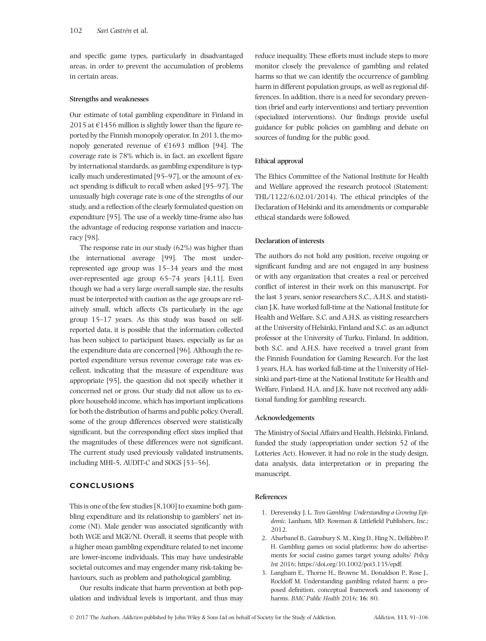and specific game types, particularly in disadvantaged areas, in order to prevent the accumulation of problems in certain areas.

## Strengths and weaknesses

Our estimate of total gambling expenditure in Finland in 2015 at  $\epsilon$ 1456 million is slightly lower than the figure reported by the Finnish monopoly operator. In 2013, the monopoly generated revenue of  $\epsilon$ 1693 million [94]. The coverage rate is 78% which is, in fact, an excellent figure by international standards, as gambling expenditure is typically much underestimated [95–97], or the amount of exact spending is difficult to recall when asked [95–97]. The unusually high coverage rate is one of the strengths of our study, and a reflection of the clearly formulated question on expenditure [95]. The use of a weekly time-frame also has the advantage of reducing response variation and inaccuracy [98].

The response rate in our study (62%) was higher than the international average [99]. The most underrepresented age group was 15–34 years and the most over-represented age group 65–74 years [4,11]. Even though we had a very large overall sample size, the results must be interpreted with caution as the age groups are relatively small, which affects CIs particularly in the age group 15–17 years. As this study was based on selfreported data, it is possible that the information collected has been subject to participant biases, especially as far as the expenditure data are concerned [96]. Although the reported expenditure versus revenue coverage rate was excellent, indicating that the measure of expenditure was appropriate [95], the question did not specify whether it concerned net or gross. Our study did not allow us to explore household income, which has important implications for both the distribution of harms and public policy. Overall, some of the group differences observed were statistically significant, but the corresponding effect sizes implied that the magnitudes of these differences were not significant. The current study used previously validated instruments, including MHI-5, AUDIT-C and SOGS [53–56].

# CONCLUSIONS

This is one of the few studies [8,100] to examine both gambling expenditure and its relationship to gamblers' net income (NI). Male gender was associated significantly with both WGE and MGE/NI. Overall, it seems that people with a higher mean gambling expenditure related to net income are lower-income individuals. This may have undesirable societal outcomes and may engender many risk-taking behaviours, such as problem and pathological gambling.

Our results indicate that harm prevention at both population and individual levels is important, and thus may reduce inequality. These efforts must include steps to more monitor closely the prevalence of gambling and related harms so that we can identify the occurrence of gambling harm in different population groups, as well as regional differences. In addition, there is a need for secondary prevention (brief and early interventions) and tertiary prevention (specialized interventions). Our findings provide useful guidance for public policies on gambling and debate on sources of funding for the public good.

# Ethical approval

The Ethics Committee of the National Institute for Health and Welfare approved the research protocol (Statement: THL/1122/6.02.01/2014). The ethical principles of the Declaration of Helsinki and its amendments or comparable ethical standards were followed.

# Declaration of interests

The authors do not hold any position, receive ongoing or significant funding and are not engaged in any business or with any organization that creates a real or perceived conflict of interest in their work on this manuscript. For the last 3 years, senior researchers S.C., A.H.S. and statistician J.K. have worked full-time at the National Institute for Health and Welfare. S.C. and A.H.S. as visiting researchers at the University of Helsinki, Finland and S.C. as an adjunct professor at the University of Turku, Finland. In addition, both S.C. and A.H.S. have received a travel grant from the Finnish Foundation for Gaming Research. For the last 3 years, H.A. has worked full-time at the University of Helsinki and part-time at the National Institute for Health and Welfare, Finland. H.A. and J.K. have not received any additional funding for gambling research.

# Acknowledgements

The Ministry of Social Affairs and Health, Helsinki, Finland, funded the study (appropriation under section 52 of the Lotteries Act). However, it had no role in the study design, data analysis, data interpretation or in preparing the manuscript.

# References

- 1. Derevensky J. L. Teen Gambling: Understanding a Growing Epidemic. Lanham, MD: Rowman & Littlefield Publishers, Inc.; 2012.
- 2. Abarbanel B., Gainsbury S. M., King D., Hing N., Delfabbro P. H. Gambling games on social platforms: how do advertisements for social casino games target young adults? Policy Int 2016; [https://doi.org/10.1002/poi3.135/epdf.](https://doi.org/10.1002/poi3.135/epdf)
- 3. Langham E., Thorne H., Browne M., Donaldson P., Rose J., Rockloff M. Understanding gambling related harm: a proposed definition, conceptual framework and taxonomy of harms. BMC Public Health 2016; 16: 80.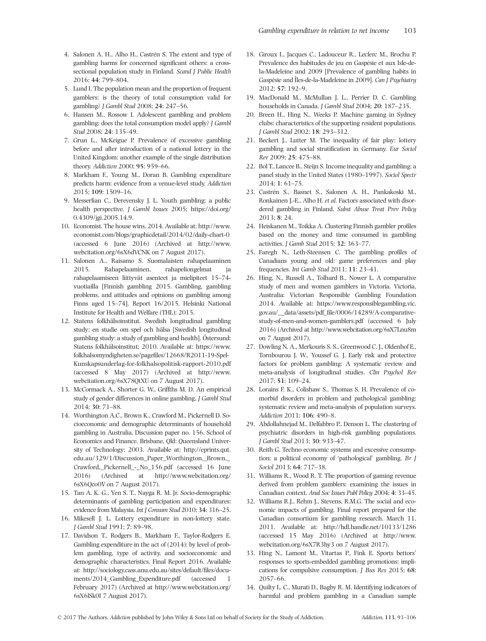- 4. Salonen A. H., Alho H., Castrén S. The extent and type of gambling harms for concerned significant others: a crosssectional population study in Finland. Scand J Public Health 2016; 44: 799–804.
- 5. Lund I. The population mean and the proportion of frequent gamblers: is the theory of total consumption valid for gambling? J Gambl Stud 2008; 24: 247–56.
- 6. Hansen M., Rossow I. Adolescent gambling and problem gambling: does the total consumption model apply? J Gambl Stud 2008; 24: 135–49.
- 7. Grun L., McKeigue P. Prevalence of excessive gambling before and after introduction of a national lottery in the United Kingdom: another example of the single distribution theory. Addiction 2000; 95: 959–66.
- 8. Markham F., Young M., Doran B. Gambling expenditure predicts harm: evidence from a venue-level study. Addiction 2015; 109: 1509–16.
- 9. Messerlian C., Derevensky J. L. Youth gambling: a public health perspective. J Gambl Issues 2005; [https://doi.org/](https://doi.org/0.4309/jgi.2005.14.9) [0.4309/jgi.2005.14.9](https://doi.org/0.4309/jgi.2005.14.9).
- 10. Economist. The house wins. 2014. Available at: [http://www.](http://www.economist.com/blogs/graphicdetail/2014/02/daily-chart-0) [economist.com/blogs/graphicdetail/2014/02/daily-chart-0](http://www.economist.com/blogs/graphicdetail/2014/02/daily-chart-0) (accessed 6 June 2016) (Archived at [http://www.](http://www.webcitation.org/6sX6dVCNK) [webcitation.org/6sX6dVCNK](http://www.webcitation.org/6sX6dVCNK) on 7 August 2017).
- 11. Salonen A., Raisamo S. Suomalaisten rahapelaaminen 2015. Rahapelaaminen, rahapeliongelmat ja rahapelaamiseen liittyvät asenteet ja mielipiteet 15–74 vuotiailla [Finnish gambling 2015. Gambling, gambling problems, and attitudes and opinions on gambling among Finns aged 15–74]. Report 16/2015. Helsinki National Institute for Health and Welfare (THL); 2015.
- 12. Statens folkhälsoinstitut. Swedish longitudinal gambling study: en studie om spel och hälsa [Swedish longitudinal gambling study: a study of gambling and health]. Östersund: Statens folkhälsoinstitut; 2010. Available at: [https://www.](https://www.folkhalsomyndigheten.se/pagefiles/12668/R2011-19-Spel-Kunskapsunderlag-for-folkhalsopolitisk-rapport-2010.pdf) [folkhalsomyndigheten.se/page](https://www.folkhalsomyndigheten.se/pagefiles/12668/R2011-19-Spel-Kunskapsunderlag-for-folkhalsopolitisk-rapport-2010.pdf)files/12668/R2011-19-Spel-[Kunskapsunderlag-for-folkhalsopolitisk-rapport-2010.pdf](https://www.folkhalsomyndigheten.se/pagefiles/12668/R2011-19-Spel-Kunskapsunderlag-for-folkhalsopolitisk-rapport-2010.pdf) (accessed 8 May 2017) (Archived at [http://www.](http://www.webcitation.org/6sX78QtXU) [webcitation.org/6sX78QtXU](http://www.webcitation.org/6sX78QtXU) on 7 August 2017).
- 13. McCormack A., Shorter G. W., Griffths M. D. An empirical study of gender differences in online gambling. J Gambl Stud 2014; 30: 71–88.
- 14. Worthington A.C., Brown K., Crawford M., Pickernell D. Socioeconomic and demographic determinants of household gambling in Australia. Discussion paper no. 156. School of Economics and Finance. Brisbane, Qld: Queensland University of Technology; 2003. Available at: [http://eprints.qut.](http://eprints.qut.edu.au/329/1/Discussion_Paper_Worthington,_Brown,_Crawford,_Pickernell_-_No_156.pdf) [edu.au/329/1/Discussion\\_Paper\\_Worthington,\\_Brown,\\_](http://eprints.qut.edu.au/329/1/Discussion_Paper_Worthington,_Brown,_Crawford,_Pickernell_-_No_156.pdf) [Crawford,\\_Pickernell\\_-\\_No\\_156.pdf](http://eprints.qut.edu.au/329/1/Discussion_Paper_Worthington,_Brown,_Crawford,_Pickernell_-_No_156.pdf) (accessed 16 June 2016) (Archived at [http://www.webcitation.org/](http://www.webcitation.org/6sX6Qco0V) [6sX6Qco0V](http://www.webcitation.org/6sX6Qco0V) on 7 August 2017).
- 15. Tan A. K. G., Yen S. T., Nayga R. M. Jr. Socio-demographic determinants of gambling participation and expenditures: evidence from Malaysia. Int J Consum Stud 2010; 34: 316–25.
- 16. Mikesell J. L. Lottery expenditure in non-lottery state. J Gambl Stud 1991; 7: 89–98.
- 17. Davidson T., Rodgers B., Markham F., Taylor-Rodgers E. Gambling expenditure in the act of (2014): by level of problem gambling, type of activity, and socioeconomic and demographic characteristics. Final Report 2016. Available at: [http://sociology.cass.anu.edu.au/sites/default/](http://sociology.cass.anu.edu.au/sites/default/files/documents/2014_Gambling_Expenditure.pdf)files/docu[ments/2014\\_Gambling\\_Expenditure.pdf](http://sociology.cass.anu.edu.au/sites/default/files/documents/2014_Gambling_Expenditure.pdf) (accessed 1 February 2017) (Archived at [http://www.webcitation.org/](http://www.webcitation.org/6sX6lSk0I) [6sX6lSk0I](http://www.webcitation.org/6sX6lSk0I) 7 August 2017).
- 18. Giroux I., Jacques C., Ladouceur R., Leclerc M., Brochu P. Prevalence des habitudes de jeu en Gaspésie et aux Isle-dela-Madeleine and 2009 [Prevalence of gambling habits in Gaspésie and Îles-de-la-Madeleine in 2009]. Can J Psychiatry 2012; 57: 192–9.
- 19. MacDonald M., McMullan J. L., Perrier D. C. Gambling households in Canada. J Gambl Stud 2004; 20: 187-235.
- 20. Breen H., Hing N., Weeks P. Machine gaming in Sydney clubs: characteristics of the supporting resident populations. J Gambl Stud 2002; 18: 293–312.
- 21. Beckert J., Lutter M. The inequality of fair play: lottery gambling and social stratification in Germany. Eur Sociol Rev 2009; 25: 475–88.
- 22. Bol T., Lancee B., Steijn S. Income inequality and gambling: a panel study in the United States (1980–1997). Sociol Spectr 2014; 1: 61–75.
- 23. Castrén S., Basnet S., Salonen A. H., Pankakoski M., Ronkainen J.-E., Alho H. et al. Factors associated with disordered gambling in Finland. Subst Abuse Treat Prev Policy 2013; 8: 24.
- 24. Heiskanen M., Toikka A. Clustering Finnish gambler profiles based on the money and time consumed in gambling activities. J Gamb Stud 2015; 32: 363–77.
- 25. Faregh N., Leth-Steensen C. The gambling profiles of Canadians young and old: game preferences and play frequencies. Int Gamb Stud 2011; 11: 23–41.
- 26. Hing, N., Russell A., Tolhard B., Nower L. A comparative study of men and women gamblers in Victoria. Victoria, Australia: Victorian Responsible Gambling Foundation 2014. Available at: [https://www.responsiblegambling.vic.](https://www.responsiblegambling.vic.gov.au/__data/assets/pdf_file/0006/14289/A-comparative-study-of-men-and-women-gamblers.pdf) gov.au/\_\_data/assets/pdf\_fi[le/0006/14289/A-comparative](https://www.responsiblegambling.vic.gov.au/__data/assets/pdf_file/0006/14289/A-comparative-study-of-men-and-women-gamblers.pdf)[study-of-men-and-women-gamblers.pdf](https://www.responsiblegambling.vic.gov.au/__data/assets/pdf_file/0006/14289/A-comparative-study-of-men-and-women-gamblers.pdf) (accessed 6 July 2016) (Archived at<http://www.webcitation.org/6sX7Lnu8m> on 7 August 2017).
- 27. Dowling N. A., Merkouris S. S., Greenwood C. J., Oldenhof E., Tornbourou J. W., Youssef G. J. Early risk and protective factors for problem gambling: A systematic review and meta-analysis of longitudinal studies. Clin Psychol Rev 2017; 51: 109–24.
- 28. Lorains F. K., Colishaw S., Thomas S. H. Prevalence of comorbid disorders in problem and pathological gambling: systematic review and meta-analysis of population surveys. Addiction 2011; 106: 490–8.
- 29. Abdollahnejad M., Delfabbro P., Denson L. The clustering of psychiatric disorders in high-risk gambling populations. J Gambl Stud 2013; 30: 933–47.
- 30. Reith G. Techno economic systems and excessive consumption: a political economy of 'pathological' gambling. Br J Sociol 2013; 64: 717–38.
- 31. Williams R., Wood R. T. The proportion of gaming revenue derived from problem gamblers: examining the issues in Canadian context. Anal Soc Issues Publ Policy 2004; 4: 33–45.
- 32. Williams R.J., Rehm J., Stevens, R.M.G. The social and economic impacts of gambling. Final report prepared for the Canadian consortium for gambling research. March 11, 2011. Available at:<http://hdl.handle.net/10133/1286> (accessed 15 May 2016) (Archived at [http://www.](http://www.webcitation.org/6sX7R3hy3) [webcitation.org/6sX7R3hy3](http://www.webcitation.org/6sX7R3hy3) on 7 August 2017).
- 33. Hing N., Lamont M., Vitartas P., Fink E. Sports bettors' responses to sports-embedded gambling promotions: implications for compulsive consumption. J Bus Res 2015; 68: 2057–66.
- 34. Quilty L. C., Murati D., Bagby R. M. Identifying indicators of harmful and problem gambling in a Canadian sample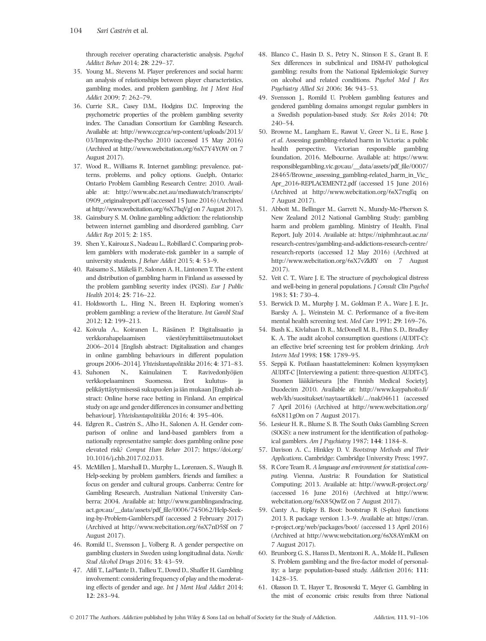through receiver operating characteristic analysis. Psychol Additct Behav 2014; 28: 229–37.

- 35. Young M., Stevens M. Player preferences and social harm: an analysis of relationships between player characteristics, gambling modes, and problem gambling. Int J Ment Heal Addict 2009; 7: 262–79.
- 36. Currie S.R., Casey D.M., Hodgins D.C. Improving the psychometric properties of the problem gambling severity index. The Canadian Consortium for Gambling Research. Available at: [http://www.ccgr.ca/wp-content/uploads/2013/](http://www.ccgr.ca/wp-content/uploads/2013/03/Improving-the-Psycho) [03/Improving-the-Psycho](http://www.ccgr.ca/wp-content/uploads/2013/03/Improving-the-Psycho) 2010 (accessed 15 May 2016) (Archived at<http://www.webcitation.org/6sX7Y4YOW> on 7 August 2017).
- 37. Wood R., Williams R. Internet gambling: prevalence, patterns, problems, and policy options. Guelph, Ontario: Ontario Problem Gambling Research Centre; 2010. Available at: [http://www.abc.net.au/mediawatch/transcripts/](http://www.abc.net.au/mediawatch/transcripts/0909_originalreport.pdf) [0909\\_originalreport.pdf](http://www.abc.net.au/mediawatch/transcripts/0909_originalreport.pdf) (accessed 15 June 2016) (Archived at<http://www.webcitation.org/6sX7hqVgJ> on 7 August 2017).
- 38. Gainsbury S. M. Online gambling addiction: the relationship between internet gambling and disordered gambling. Curr Addict Rep 2015; 2: 185.
- 39. Shen Y., Kairouz S., Nadeau L., Robillard C. Comparing problem gamblers with moderate-risk gambler in a sample of university students. J Behav Addict 2015; 4: 53–9.
- 40. Raisamo S., Mäkelä P., Salonen A. H., Lintonen T. The extent and distribution of gambling harm in Finland as assessed by the problem gambling severity index (PGSI). Eur J Public Health 2014; 25: 716–22.
- 41. Holdsworth L., Hing N., Breen H. Exploring women's problem gambling: a review of the literature. Int Gambl Stud 2012; 12: 199–213.
- 42. Koivula A., Koiranen I., Räsänen P. Digitalisaatio ja verkkorahapelaamisen väestöryhmittäisetmuutokset 2006–2014 [English abstract: Digitalization and changes in online gambling behaviours in different population groups 2006–2014]. Yhteiskuntapolitiikka 2016; 4: 371–83.
- 43. Suhonen N., Kainulainen T. Ravivedonlyöjien verkkopelaaminen Suomessa. Erot kulutus- ja pelikäyttäytymisessä sukupuolen ja iän mukaan [English abstract: Online horse race betting in Finland. An empirical study on age and gender differences in consumer and betting behaviour]. Yhteiskuntapolitiikka 2016; 4: 395–406.
- 44. Edgren R., Castrén S., Alho H., Salonen A. H. Gender comparison of online and land-based gamblers from a nationally representative sample: does gambling online pose elevated risk? Comput Hum Behav 2017; [https://doi.org/](https://doi.org/10.1016/j.chb.2017.02.033) [10.1016/j.chb.2017.02.033](https://doi.org/10.1016/j.chb.2017.02.033).
- 45. McMillen J., Marshall D., Murphy L., Lorenzen, S., Waugh B. Help-seeking by problem gamblers, friends and families: a focus on gender and cultural groups. Canberra: Centre for Gambling Research, Australian National University Canberra; 2004. Available at: [http://www.gamblingandracing.](http://www.gamblingandracing.act.gov.au/__data/assets/pdf_file/0006/745062/Help-Seeking-by-Problem-Gamblers.pdf) [act.gov.au/\\_\\_data/assets/pdf\\_](http://www.gamblingandracing.act.gov.au/__data/assets/pdf_file/0006/745062/Help-Seeking-by-Problem-Gamblers.pdf)file/0006/745062/Help-Seek[ing-by-Problem-Gamblers.pdf](http://www.gamblingandracing.act.gov.au/__data/assets/pdf_file/0006/745062/Help-Seeking-by-Problem-Gamblers.pdf) (accessed 2 February 2017) (Archived at<http://www.webcitation.org/6sX7nD5Sf> on 7 August 2017).
- 46. Romild U., Svensson J., Volberg R. A gender perspective on gambling clusters in Sweden using longitudinal data. Nordic Stud Alcohol Drugs 2016; 33: 43–59.
- 47. Afifi T., LaPlante D., Tallieu T., Dowd D., Shaffer H. Gambling involvement: considering frequency of play and the moderating effects of gender and age. Int J Ment Heal Addict 2014; 12: 283–94.
- 48. Blanco C., Hasin D. S., Petry N., Stinson F. S., Grant B. F. Sex differences in subclinical and DSM-IV pathological gambling: results from the National Epidemiologic Survey on alcohol and related conditions. Psychol Med J Res Psychiatry Allied Sci 2006; 36: 943–53.
- 49. Svensson J., Romild U. Problem gambling features and gendered gambling domains amongst regular gamblers in a Swedish population-based study. Sex Roles 2014; 70: 240–54.
- 50. Browne M., Langham E., Rawat V., Greer N., Li E., Rose J. et al. Assessing gambling-related harm in Victoria: a public health perspective. Victorian responsible gambling foundation, 2016. Melbourne. Available at: [https://www.](https://www.responsiblegambling.vic.gov.au/__data/assets/pdf_file/0007/28465/Browne_assessing_gambling-related_harm_in_Vic_Apr_2016-REPLACEMENT2.pdf) [responsiblegambling.vic.gov.au/\\_\\_data/assets/pdf\\_](https://www.responsiblegambling.vic.gov.au/__data/assets/pdf_file/0007/28465/Browne_assessing_gambling-related_harm_in_Vic_Apr_2016-REPLACEMENT2.pdf)file/0007/ [28465/Browne\\_assessing\\_gambling-related\\_harm\\_in\\_Vic\\_](https://www.responsiblegambling.vic.gov.au/__data/assets/pdf_file/0007/28465/Browne_assessing_gambling-related_harm_in_Vic_Apr_2016-REPLACEMENT2.pdf) [Apr\\_2016-REPLACEMENT2.pdf](https://www.responsiblegambling.vic.gov.au/__data/assets/pdf_file/0007/28465/Browne_assessing_gambling-related_harm_in_Vic_Apr_2016-REPLACEMENT2.pdf) (accessed 15 June 2016) (Archived at<http://www.webcitation.org/6sX7rsgEq> on 7 August 2017).
- 51. Abbott M., Bellinger M., Garrett N., Mundy-Mc-Pherson S. New Zealand 2012 National Gambling Study: gambling harm and problem gambling. Ministry of Health, Final Report, July 2014. Available at: [https://niphmhr.aut.ac.nz/](https://niphmhr.aut.ac.nz/research-centres/gambling-and-addictions-research-centre/research-reports) [research-centres/gambling-and-addictions-research-centre/](https://niphmhr.aut.ac.nz/research-centres/gambling-and-addictions-research-centre/research-reports) [research-reports](https://niphmhr.aut.ac.nz/research-centres/gambling-and-addictions-research-centre/research-reports) (accessed 12 May 2016) (Archived at <http://www.webcitation.org/6sX7vZkRY> on 7 August 2017).
- 52. Veit C. T., Ware J. E. The structure of psychological distress and well-being in general populations. J Consult Clin Psychol 1983; 51: 730–4.
- 53. Berwick D. M., Murphy J. M., Goldman P. A., Ware J. E. Jr., Barsky A. J., Weinstein M. C. Performance of a five-item mental health screening test. Med Care 1991; 29: 169–76.
- 54. Bush K., Kivlahan D. R., McDonell M. B., Fihn S. D., Bradley K. A. The audit alcohol consumption questions (AUDIT-C): an effective brief screening test for problem drinking. Arch Intern Med 1998; 158: 1789–95.
- 55. Seppä K. Potilaan haastatteleminen: Kolmen kysymyksen AUDIT-C [Interviewing a patient: three-question AUDIT-C]. Suomen lääkäriseura [the Finnish Medical Society]. Duodecim 2010. Available at: http://www.kaypahoito.fi/ web/kh/suositukset/naytaartikkeli/.../nak04611 (accessed 7 April 2016) (Archived at [http://www.webcitation.org/](http://www.webcitation.org/6sX811gOm) [6sX811gOm](http://www.webcitation.org/6sX811gOm) on 7 August 2017).
- 56. Lesieur H. R., Blume S. B. The South Oaks Gambling Screen (SOGS): a new instrument for the identification of pathological gamblers. Am J Psychiatry 1987; 144: 1184–8.
- 57. Davison A. C., Hinkley D. V. Bootstrap Methods and Their Applications. Cambridge: Cambridge University Press; 1997.
- 58. R Core Team R. A language and environment for statistical computing. Vienna, Austria: R Foundation for Statistical Computing; 2013. Available at: http://www.R-project.org/ (accessed 16 June 2016) (Archived at [http://www.](http://www.webcitation.org/6sX85QwIZ) [webcitation.org/6sX85QwIZ](http://www.webcitation.org/6sX85QwIZ) on 7 August 2017).
- 59. Canty A., Ripley B. Boot: bootstrap R (S-plus) functions 2013. R package version 1.3–9. Available at: [https://cran.](https://cran.r-project.org/web/packages/boot/) [r-project.org/web/packages/boot/](https://cran.r-project.org/web/packages/boot/) (accessed 13 April 2016) (Archived at<http://www.webcitation.org/6sX8AYmKM> on 7 August 2017).
- 60. Brunborg G. S., Hanss D., Mentzoni R. A., Molde H., Pallesen S. Problem gambling and the five-factor model of personality: a large population-based study. Addiction 2016; 111: 1428–35.
- 61. Olasson D. T., Hayer T., Brosowski T., Meyer G. Gambling in the mist of economic crisis: results from three National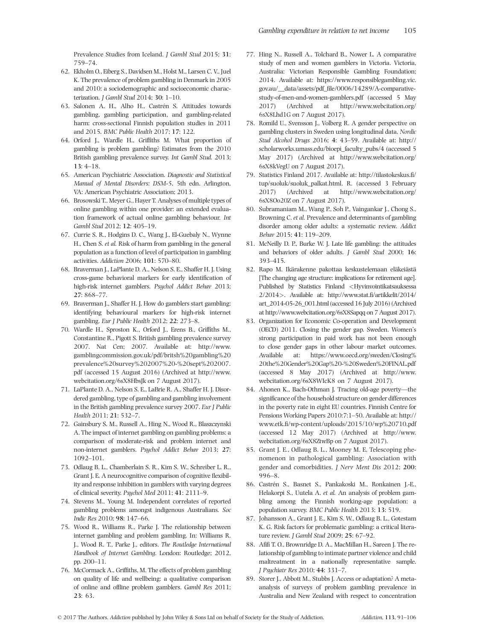Prevalence Studies from Iceland. J Gambl Stud 2015; 31: 759–74.

- 62. Ekholm O., Eiberg S., Davidsen M., Holst M., Larsen C. V., Juel K. The prevalence of problem gambling in Denmark in 2005 and 2010: a sociodemographic and socioeconomic characterization. J Gambl Stud 2014; 30: 1–10.
- 63. Salonen A. H., Alho H., Castrén S. Attitudes towards gambling, gambling participation, and gambling-related harm: cross-sectional Finnish population studies in 2011 and 2015. BMC Public Health 2017; 17: 122.
- 64. Orford J., Wardle H., Griffiths M. What proportion of gambling is problem gambling? Estimates from the 2010 British gambling prevalence survey. Int Gambl Stud. 2013; 13: 4–18.
- 65. American Psychiatric Association. Diagnostic and Statistical Manual of Mental Disorders: DSM-5, 5th edn. Arlington, VA: American Psychiatric Association; 2013.
- 66. Brosowski T., Meyer G., Hayer T. Analyses of multiple types of online gambling within one provider: an extended evaluation framework of actual online gambling behaviour. Int Gambl Stud 2012; 12: 405–19.
- 67. Currie S. R., Hodgins D. C., Wang J., El-Guebaly N., Wynne H., Chen S. et al. Risk of harm from gambling in the general population as a function of level of participation in gambling activities. Addiction 2006; 101: 570–80.
- 68. Braverman J., LaPlante D. A., Nelson S. E., Shaffer H. J. Using cross-game behavioral markers for early identification of high-risk internet gamblers. Psychol Addict Behav 2013; 27: 868–77.
- 69. Braverman J., Shaffer H. J. How do gamblers start gambling: identifying behavioural markers for high-risk internet gambling. Eur J Public Health 2012; 22: 273–8.
- 70. Wardle H., Sproston K., Orford J., Erens B., Griffiths M., Constantine R., Pigott S. British gambling prevalence survey 2007. Nat Cen; 2007. Available at: [http://www.](http://www.gamblingcommission.gov.uk/pdf/britsh%20gambling%20prevalence%20survey%202007%20-%20sept%202007.pdf) [gamblingcommission.gov.uk/pdf/britsh%20gambling%20](http://www.gamblingcommission.gov.uk/pdf/britsh%20gambling%20prevalence%20survey%202007%20-%20sept%202007.pdf) [prevalence%20survey%202007%20-%20sept%202007.](http://www.gamblingcommission.gov.uk/pdf/britsh%20gambling%20prevalence%20survey%202007%20-%20sept%202007.pdf) [pdf](http://www.gamblingcommission.gov.uk/pdf/britsh%20gambling%20prevalence%20survey%202007%20-%20sept%202007.pdf) (accessed 15 August 2016) (Archived at [http://www.](http://www.webcitation.org/6sX8HbsJk) [webcitation.org/6sX8HbsJk](http://www.webcitation.org/6sX8HbsJk) on 7 August 2017).
- 71. LaPlante D. A., Nelson S. E., LaBrie R. A., Shaffer H. J. Disordered gambling, type of gambling and gambling involvement in the British gambling prevalence survey 2007. Eur J Public Health 2011; 21: 532–7.
- 72. Gainsbury S. M., Russell A., Hing N., Wood R., Blaszczynski A. The impact of internet gambling on gambling problems: a comparison of moderate-risk and problem internet and non-internet gamblers. Psychol Addict Behav 2013; 27: 1092–101.
- 73. Odlaug B. L., Chamberlain S. R., Kim S. W., Schreiber L. R., Grant J. E. A neurocognitive comparison of cognitive flexibility and response inhibition in gamblers with varying degrees of clinical severity. Psychol Med 2011; 41: 2111–9.
- 74. Stevens M., Young M. Independent correlates of reported gambling problems amongst indigenous Australians. Soc Indic Res 2010; 98: 147–66.
- 75. Wood R., Williams R., Parke J. The relationship between internet gambling and problem gambling. In: Williams R. J., Wood R. T., Parke J., editors. The Routledge International Handbook of Internet Gambling. London: Routledge; 2012, pp. 200–11.
- 76. McCormack A., Griffiths, M. The effects of problem gambling on quality of life and wellbeing: a qualitative comparison of online and offline problem gamblers. Gambl Res 2011; 23: 63.
- 77. Hing N., Russell A., Tolchard B., Nower L. A comparative study of men and women gamblers in Victoria. Victoria, Australia: Victorian Responsible Gambling Foundation; 2014. Available at: [https://www.responsiblegambling.vic.](https://www.responsiblegambling.vic.gov.au/__data/assets/pdf_file/0006/14289/A-comparative-study-of-men-and-women-gamblers.pdf) gov.au/\_\_data/assets/pdf\_fi[le/0006/14289/A-comparative](https://www.responsiblegambling.vic.gov.au/__data/assets/pdf_file/0006/14289/A-comparative-study-of-men-and-women-gamblers.pdf)[study-of-men-and-women-gamblers.pdf](https://www.responsiblegambling.vic.gov.au/__data/assets/pdf_file/0006/14289/A-comparative-study-of-men-and-women-gamblers.pdf) (accessed 5 May 2017) (Archived at [http://www.webcitation.org/](http://www.webcitation.org/6sX8Lhd1G) [6sX8Lhd1G](http://www.webcitation.org/6sX8Lhd1G) on 7 August 2017).
- 78. Romild U., Svensson J., Volberg R. A gender perspective on gambling clusters in Sweden using longitudinal data. Nordic Stud Alcohol Drugs 2016; 4: 43–59. Available at: [http://](http://scholarworks.umass.edu/bioepi_faculty_pubs/4) [scholarworks.umass.edu/bioepi\\_faculty\\_pubs/4](http://scholarworks.umass.edu/bioepi_faculty_pubs/4) (accessed 5 May 2017) (Archived at [http://www.webcitation.org/](http://www.webcitation.org/6sX8kVegU) [6sX8kVegU](http://www.webcitation.org/6sX8kVegU) on 7 August 2017).
- 79. Statistics Finland 2017. Available at: [http://tilastokeskus.](http://tilastokeskus.fi/tup/suoluk/suoluk_palkat.html)fi/ [tup/suoluk/suoluk\\_palkat.html](http://tilastokeskus.fi/tup/suoluk/suoluk_palkat.html). R. (accessed 3 February 2017) (Archived at [http://www.webcitation.org/](http://www.webcitation.org/6sX8Oo20Z) [6sX8Oo20Z](http://www.webcitation.org/6sX8Oo20Z) on 7 August 2017).
- Subramaniam M., Wang P., Soh P., Vaingankar J., Chong S., Browning C. et al. Prevalence and determinants of gambling disorder among older adults: a systematic review. Addict Behav 2015; 41: 119–209.
- 81. McNeilly D. P., Burke W. J. Late life gambling: the attitudes and behaviors of older adults. J Gambl Stud 2000; 16: 393–415.
- 82. Rapo M. Ikärakenne pakottaa keskustelemaan eläkeiästä [The changing age structure: implications for retirement age]. Published by Statistics Finland <Hyvinvointikatsauksessa 2/2014>. Available at: http://www.stat.fi[/artikkelit/2014/](http://www.stat.fi/artikkelit/2014/art_2014-05-26_001.html) [art\\_2014-05-26\\_001.html](http://www.stat.fi/artikkelit/2014/art_2014-05-26_001.html) (accessed 16 July 2016) (Archived at<http://www.webcitation.org/6sX8Sapqq> on 7 August 2017).
- 83. Organization for Economic Co-operation and Development (OECD) 2011. Closing the gender gap. Sweden. Women's strong participation in paid work has not been enough to close gender gaps in other labour market outcomes. Available at: [https://www.oecd.org/sweden/Closing%](https://www.oecd.org/sweden/Closing%20the%20Gender%20Gap%20-%20Sweden%20FINAL.pdf) [20the%20Gender%20Gap%20-%20Sweden%20FINAL.pdf](https://www.oecd.org/sweden/Closing%20the%20Gender%20Gap%20-%20Sweden%20FINAL.pdf) (accessed 8 May 2017) (Archived at [http://www.](http://www.webcitation.org/6sX8WIcK8) [webcitation.org/6sX8WIcK8](http://www.webcitation.org/6sX8WIcK8) on 7 August 2017).
- 84. Ahonen K., Bach-Othman J. Tracing old-age poverty—the significance of the household structure on gender differences in the poverty rate in eight EU countries. Finnish Centre for Pensions Working Papers 2010:7:1–50. Available at: [http://](http://www.etk.fi/wp-content/uploads/2015/10/wp%20710.pdf) www.etk.fi[/wp-content/uploads/2015/10/wp%20710.pdf](http://www.etk.fi/wp-content/uploads/2015/10/wp%20710.pdf) (accessed 12 May 2017) (Archived at [http://www.](http://www.webcitation.org/6sX8ZtwBp) [webcitation.org/6sX8ZtwBp](http://www.webcitation.org/6sX8ZtwBp) on 7 August 2017).
- 85. Grant J. E., Odlaug B. L., Mooney M. E. Telescoping phenomenon in pathological gambling: Association with gender and comorbidities. J Nerv Ment Dis 2012; 200: 996–8.
- 86. Castrén S., Basnet S., Pankakoski M., Ronkainen J.-E., Helakorpi S., Uutela A. et al. An analysis of problem gambling among the Finnish working-age population: a population survey. BMC Public Health 2013; 13: 519.
- 87. Johansson A., Grant J. E., Kim S. W., Odlaug B. L., Gotestam K. G. Risk factors for problematic gambling: a critical literature review. J Gambl Stud 2009; 25: 67–92.
- 88. Afifi T. O., Brownridge D. A., MacMillan H., Sareen J. The relationship of gambling to intimate partner violence and child maltreatment in a nationally representative sample. J Psychiatr Res 2010; 44: 331–7.
- 89. Storer J., Abbott M., Stubbs J. Access or adaptation? A metaanalysis of surveys of problem gambling prevalence in Australia and New Zealand with respect to concentration